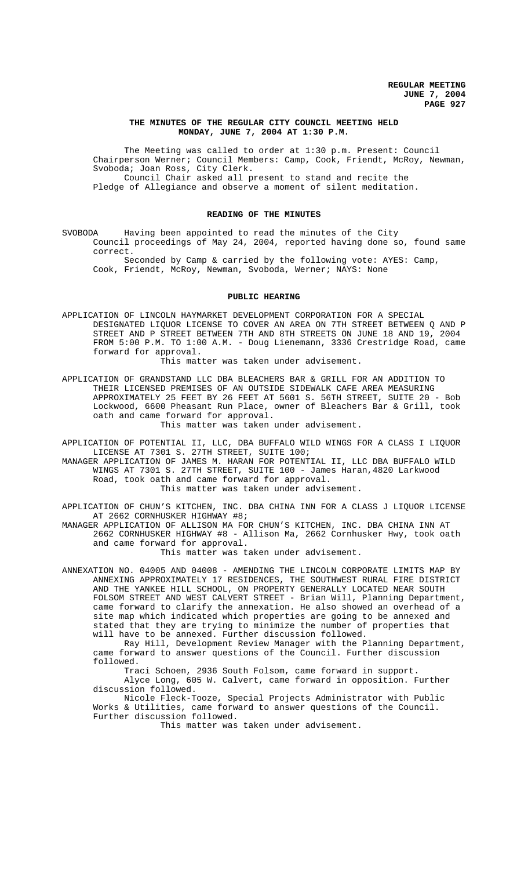## **THE MINUTES OF THE REGULAR CITY COUNCIL MEETING HELD MONDAY, JUNE 7, 2004 AT 1:30 P.M.**

The Meeting was called to order at 1:30 p.m. Present: Council Chairperson Werner; Council Members: Camp, Cook, Friendt, McRoy, Newman, Svoboda; Joan Ross, City Clerk. Council Chair asked all present to stand and recite the

Pledge of Allegiance and observe a moment of silent meditation.

#### **READING OF THE MINUTES**

SVOBODA Having been appointed to read the minutes of the City Council proceedings of May 24, 2004, reported having done so, found same correct.

Seconded by Camp & carried by the following vote: AYES: Camp, Cook, Friendt, McRoy, Newman, Svoboda, Werner; NAYS: None

## **PUBLIC HEARING**

APPLICATION OF LINCOLN HAYMARKET DEVELOPMENT CORPORATION FOR A SPECIAL DESIGNATED LIQUOR LICENSE TO COVER AN AREA ON 7TH STREET BETWEEN Q AND P STREET AND P STREET BETWEEN 7TH AND 8TH STREETS ON JUNE 18 AND 19, 2004 FROM 5:00 P.M. TO 1:00 A.M. - Doug Lienemann, 3336 Crestridge Road, came forward for approval.

This matter was taken under advisement.

APPLICATION OF GRANDSTAND LLC DBA BLEACHERS BAR & GRILL FOR AN ADDITION TO THEIR LICENSED PREMISES OF AN OUTSIDE SIDEWALK CAFE AREA MEASURING APPROXIMATELY 25 FEET BY 26 FEET AT 5601 S. 56TH STREET, SUITE 20 - Bob Lockwood, 6600 Pheasant Run Place, owner of Bleachers Bar & Grill, took oath and came forward for approval.

This matter was taken under advisement.

APPLICATION OF POTENTIAL II, LLC, DBA BUFFALO WILD WINGS FOR A CLASS I LIQUOR LICENSE AT 7301 S. 27TH STREET, SUITE 100;

MANAGER APPLICATION OF JAMES M. HARAN FOR POTENTIAL II, LLC DBA BUFFALO WILD WINGS AT 7301 S. 27TH STREET, SUITE 100 - James Haran,4820 Larkwood Road, took oath and came forward for approval. This matter was taken under advisement.

APPLICATION OF CHUN'S KITCHEN, INC. DBA CHINA INN FOR A CLASS J LIQUOR LICENSE AT 2662 CORNHUSKER HIGHWAY #8;

MANAGER APPLICATION OF ALLISON MA FOR CHUN'S KITCHEN, INC. DBA CHINA INN AT 2662 CORNHUSKER HIGHWAY #8 - Allison Ma, 2662 Cornhusker Hwy, took oath and came forward for approval.

This matter was taken under advisement.

ANNEXATION NO. 04005 AND 04008 - AMENDING THE LINCOLN CORPORATE LIMITS MAP BY ANNEXING APPROXIMATELY 17 RESIDENCES, THE SOUTHWEST RURAL FIRE DISTRICT AND THE YANKEE HILL SCHOOL, ON PROPERTY GENERALLY LOCATED NEAR SOUTH FOLSOM STREET AND WEST CALVERT STREET - Brian Will, Planning Department, came forward to clarify the annexation. He also showed an overhead of a site map which indicated which properties are going to be annexed and stated that they are trying to minimize the number of properties that will have to be annexed. Further discussion followed.

Ray Hill, Development Review Manager with the Planning Department, came forward to answer questions of the Council. Further discussion followed.

Traci Schoen, 2936 South Folsom, came forward in support. Alyce Long, 605 W. Calvert, came forward in opposition. Further discussion followed.

Nicole Fleck-Tooze, Special Projects Administrator with Public Works & Utilities, came forward to answer questions of the Council. Further discussion followed.

This matter was taken under advisement.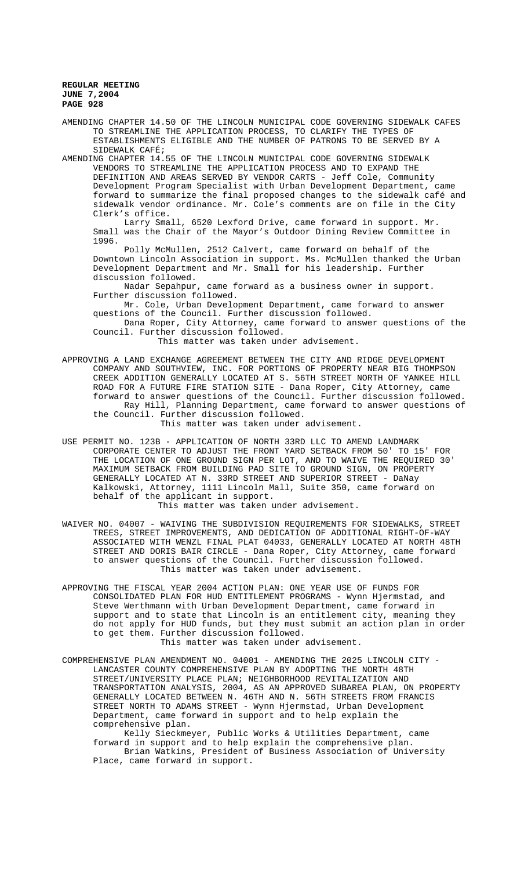AMENDING CHAPTER 14.50 OF THE LINCOLN MUNICIPAL CODE GOVERNING SIDEWALK CAFES TO STREAMLINE THE APPLICATION PROCESS, TO CLARIFY THE TYPES OF ESTABLISHMENTS ELIGIBLE AND THE NUMBER OF PATRONS TO BE SERVED BY A SIDEWALK CAFÉ;

AMENDING CHAPTER 14.55 OF THE LINCOLN MUNICIPAL CODE GOVERNING SIDEWALK VENDORS TO STREAMLINE THE APPLICATION PROCESS AND TO EXPAND THE DEFINITION AND AREAS SERVED BY VENDOR CARTS - Jeff Cole, Community Development Program Specialist with Urban Development Department, came forward to summarize the final proposed changes to the sidewalk café and sidewalk vendor ordinance. Mr. Cole's comments are on file in the City Clerk's office.

Larry Small, 6520 Lexford Drive, came forward in support. Mr. Small was the Chair of the Mayor's Outdoor Dining Review Committee in 1996.

Polly McMullen, 2512 Calvert, came forward on behalf of the Downtown Lincoln Association in support. Ms. McMullen thanked the Urban Development Department and Mr. Small for his leadership. Further discussion followed.

Nadar Sepahpur, came forward as a business owner in support. Further discussion followed.

Mr. Cole, Urban Development Department, came forward to answer questions of the Council. Further discussion followed.

Dana Roper, City Attorney, came forward to answer questions of the Council. Further discussion followed. This matter was taken under advisement.

- APPROVING A LAND EXCHANGE AGREEMENT BETWEEN THE CITY AND RIDGE DEVELOPMENT COMPANY AND SOUTHVIEW, INC. FOR PORTIONS OF PROPERTY NEAR BIG THOMPSON CREEK ADDITION GENERALLY LOCATED AT S. 56TH STREET NORTH OF YANKEE HILL ROAD FOR A FUTURE FIRE STATION SITE - Dana Roper, City Attorney, came forward to answer questions of the Council. Further discussion followed. Ray Hill, Planning Department, came forward to answer questions of the Council. Further discussion followed. This matter was taken under advisement.
- USE PERMIT NO. 123B APPLICATION OF NORTH 33RD LLC TO AMEND LANDMARK CORPORATE CENTER TO ADJUST THE FRONT YARD SETBACK FROM 50' TO 15' FOR THE LOCATION OF ONE GROUND SIGN PER LOT, AND TO WAIVE THE REQUIRED 30' MAXIMUM SETBACK FROM BUILDING PAD SITE TO GROUND SIGN, ON PROPERTY GENERALLY LOCATED AT N. 33RD STREET AND SUPERIOR STREET - DaNay Kalkowski, Attorney, 1111 Lincoln Mall, Suite 350, came forward on behalf of the applicant in support. This matter was taken under advisement.
- WAIVER NO. 04007 WAIVING THE SUBDIVISION REQUIREMENTS FOR SIDEWALKS, STREET TREES, STREET IMPROVEMENTS, AND DEDICATION OF ADDITIONAL RIGHT-OF-WAY ASSOCIATED WITH WENZL FINAL PLAT 04033, GENERALLY LOCATED AT NORTH 48TH STREET AND DORIS BAIR CIRCLE - Dana Roper, City Attorney, came forward to answer questions of the Council. Further discussion followed. This matter was taken under advisement.
- APPROVING THE FISCAL YEAR 2004 ACTION PLAN: ONE YEAR USE OF FUNDS FOR CONSOLIDATED PLAN FOR HUD ENTITLEMENT PROGRAMS - Wynn Hjermstad, and Steve Werthmann with Urban Development Department, came forward in support and to state that Lincoln is an entitlement city, meaning they do not apply for HUD funds, but they must submit an action plan in order to get them. Further discussion followed. This matter was taken under advisement.
- COMPREHENSIVE PLAN AMENDMENT NO. 04001 AMENDING THE 2025 LINCOLN CITY LANCASTER COUNTY COMPREHENSIVE PLAN BY ADOPTING THE NORTH 48TH STREET/UNIVERSITY PLACE PLAN; NEIGHBORHOOD REVITALIZATION AND TRANSPORTATION ANALYSIS, 2004, AS AN APPROVED SUBAREA PLAN, ON PROPERTY GENERALLY LOCATED BETWEEN N. 46TH AND N. 56TH STREETS FROM FRANCIS STREET NORTH TO ADAMS STREET - Wynn Hjermstad, Urban Development Department, came forward in support and to help explain the comprehensive plan.

Kelly Sieckmeyer, Public Works & Utilities Department, came forward in support and to help explain the comprehensive plan. Brian Watkins, President of Business Association of University Place, came forward in support.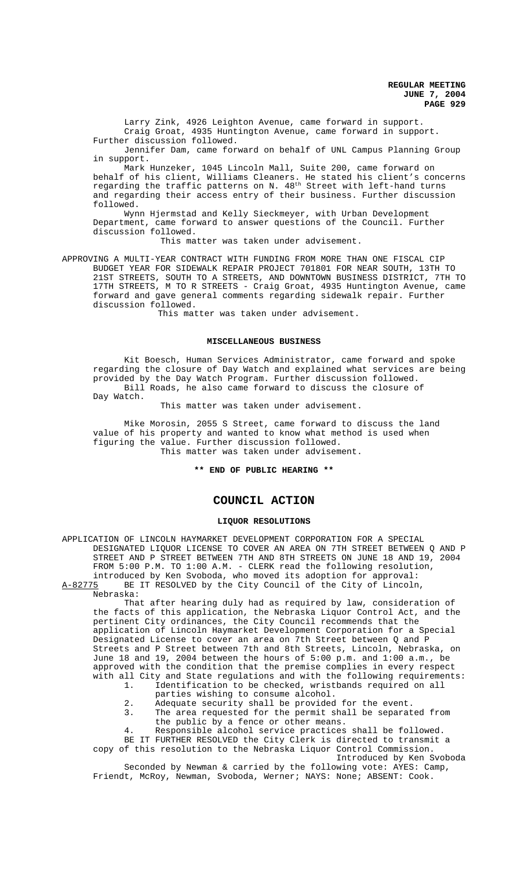Larry Zink, 4926 Leighton Avenue, came forward in support. Craig Groat, 4935 Huntington Avenue, came forward in support. Further discussion followed.

Jennifer Dam, came forward on behalf of UNL Campus Planning Group in support.

Mark Hunzeker, 1045 Lincoln Mall, Suite 200, came forward on behalf of his client, Williams Cleaners. He stated his client's concerns regarding the traffic patterns on N. 48<sup>th</sup> Street with left-hand turns and regarding their access entry of their business. Further discussion followed.

Wynn Hjermstad and Kelly Sieckmeyer, with Urban Development Department, came forward to answer questions of the Council. Further discussion followed.

This matter was taken under advisement.

APPROVING A MULTI-YEAR CONTRACT WITH FUNDING FROM MORE THAN ONE FISCAL CIP BUDGET YEAR FOR SIDEWALK REPAIR PROJECT 701801 FOR NEAR SOUTH, 13TH TO 21ST STREETS, SOUTH TO A STREETS, AND DOWNTOWN BUSINESS DISTRICT, 7TH TO 17TH STREETS, M TO R STREETS - Craig Groat, 4935 Huntington Avenue, came forward and gave general comments regarding sidewalk repair. Further discussion followed.

This matter was taken under advisement.

### **MISCELLANEOUS BUSINESS**

Kit Boesch, Human Services Administrator, came forward and spoke regarding the closure of Day Watch and explained what services are being provided by the Day Watch Program. Further discussion followed. Bill Roads, he also came forward to discuss the closure of Day Watch.

This matter was taken under advisement.

Mike Morosin, 2055 S Street, came forward to discuss the land value of his property and wanted to know what method is used when figuring the value. Further discussion followed. This matter was taken under advisement.

**\*\* END OF PUBLIC HEARING \*\***

### **COUNCIL ACTION**

#### **LIQUOR RESOLUTIONS**

APPLICATION OF LINCOLN HAYMARKET DEVELOPMENT CORPORATION FOR A SPECIAL DESIGNATED LIQUOR LICENSE TO COVER AN AREA ON 7TH STREET BETWEEN Q AND P STREET AND P STREET BETWEEN 7TH AND 8TH STREETS ON JUNE 18 AND 19, 2004 FROM 5:00 P.M. TO 1:00 A.M. - CLERK read the following resolution, introduced by Ken Svoboda, who moved its adoption for approval:<br>A-82775 BE IT RESOLVED by the City Council of the City of Lincoln BE IT RESOLVED by the City Council of the City of Lincoln,

Nebraska:

That after hearing duly had as required by law, consideration of the facts of this application, the Nebraska Liquor Control Act, and the pertinent City ordinances, the City Council recommends that the application of Lincoln Haymarket Development Corporation for a Special Designated License to cover an area on 7th Street between Q and P Streets and P Street between 7th and 8th Streets, Lincoln, Nebraska, on June 18 and 19, 2004 between the hours of 5:00 p.m. and 1:00 a.m., be approved with the condition that the premise complies in every respect with all City and State regulations and with the following requirements:

- 1. Identification to be checked, wristbands required on all parties wishing to consume alcohol.
	-
- 2. Adequate security shall be provided for the event.<br>3. The area requested for the permit shall be separat The area requested for the permit shall be separated from the public by a fence or other means.
- 4. Responsible alcohol service practices shall be followed.

BE IT FURTHER RESOLVED the City Clerk is directed to transmit a copy of this resolution to the Nebraska Liquor Control Commission.

Introduced by Ken Svoboda Seconded by Newman & carried by the following vote: AYES: Camp, Friendt, McRoy, Newman, Svoboda, Werner; NAYS: None; ABSENT: Cook.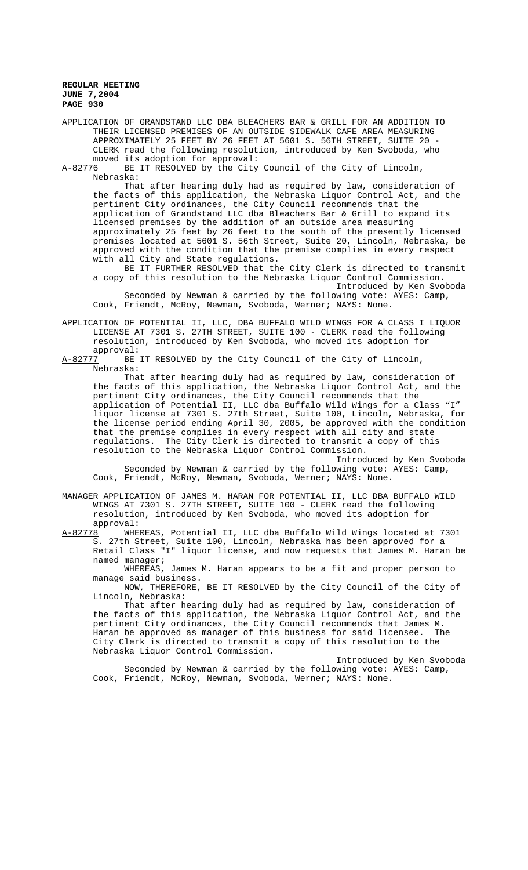APPLICATION OF GRANDSTAND LLC DBA BLEACHERS BAR & GRILL FOR AN ADDITION TO THEIR LICENSED PREMISES OF AN OUTSIDE SIDEWALK CAFE AREA MEASURING APPROXIMATELY 25 FEET BY 26 FEET AT 5601 S. 56TH STREET, SUITE 20 - CLERK read the following resolution, introduced by Ken Svoboda, who moved its adoption for approval:

A-82776 BE IT RESOLVED by the City Council of the City of Lincoln, Nebraska:

That after hearing duly had as required by law, consideration of the facts of this application, the Nebraska Liquor Control Act, and the pertinent City ordinances, the City Council recommends that the application of Grandstand LLC dba Bleachers Bar & Grill to expand its licensed premises by the addition of an outside area measuring approximately 25 feet by 26 feet to the south of the presently licensed premises located at 5601 S. 56th Street, Suite 20, Lincoln, Nebraska, be approved with the condition that the premise complies in every respect with all City and State regulations.

BE IT FURTHER RESOLVED that the City Clerk is directed to transmit a copy of this resolution to the Nebraska Liquor Control Commission. Introduced by Ken Svoboda

Seconded by Newman & carried by the following vote: AYES: Camp, Cook, Friendt, McRoy, Newman, Svoboda, Werner; NAYS: None.

APPLICATION OF POTENTIAL II, LLC, DBA BUFFALO WILD WINGS FOR A CLASS I LIQUOR LICENSE AT 7301 S. 27TH STREET, SUITE 100 - CLERK read the following resolution, introduced by Ken Svoboda, who moved its adoption for

approval:<br><u>A-82777</u> BE BE IT RESOLVED by the City Council of the City of Lincoln, Nebraska:

That after hearing duly had as required by law, consideration of the facts of this application, the Nebraska Liquor Control Act, and the pertinent City ordinances, the City Council recommends that the application of Potential II, LLC dba Buffalo Wild Wings for a Class "I" liquor license at 7301 S. 27th Street, Suite 100, Lincoln, Nebraska, for the license period ending April 30, 2005, be approved with the condition that the premise complies in every respect with all city and state regulations. The City Clerk is directed to transmit a copy of this resolution to the Nebraska Liquor Control Commission.

Introduced by Ken Svoboda Seconded by Newman & carried by the following vote: AYES: Camp, Cook, Friendt, McRoy, Newman, Svoboda, Werner; NAYS: None.

MANAGER APPLICATION OF JAMES M. HARAN FOR POTENTIAL II, LLC DBA BUFFALO WILD WINGS AT 7301 S. 27TH STREET, SUITE 100 - CLERK read the following resolution, introduced by Ken Svoboda, who moved its adoption for

approval:<br>8 WHEREAS, Potential II, LLC dba Buffalo Wild Wings located at 7301 A-82778 WHEREAS, Potential II, LLC dba Buffalo Wild Wings located at 7301 S. 27th Street, Suite 100, Lincoln, Nebraska has been approved for a Retail Class "I" liquor license, and now requests that James M. Haran be named manager;

WHEREAS, James M. Haran appears to be a fit and proper person to manage said business.

NOW, THEREFORE, BE IT RESOLVED by the City Council of the City of Lincoln, Nebraska:

That after hearing duly had as required by law, consideration of the facts of this application, the Nebraska Liquor Control Act, and the pertinent City ordinances, the City Council recommends that James M. Haran be approved as manager of this business for said licensee. The City Clerk is directed to transmit a copy of this resolution to the Nebraska Liquor Control Commission.

Introduced by Ken Svoboda Seconded by Newman & carried by the following vote: AYES: Camp, Cook, Friendt, McRoy, Newman, Svoboda, Werner; NAYS: None.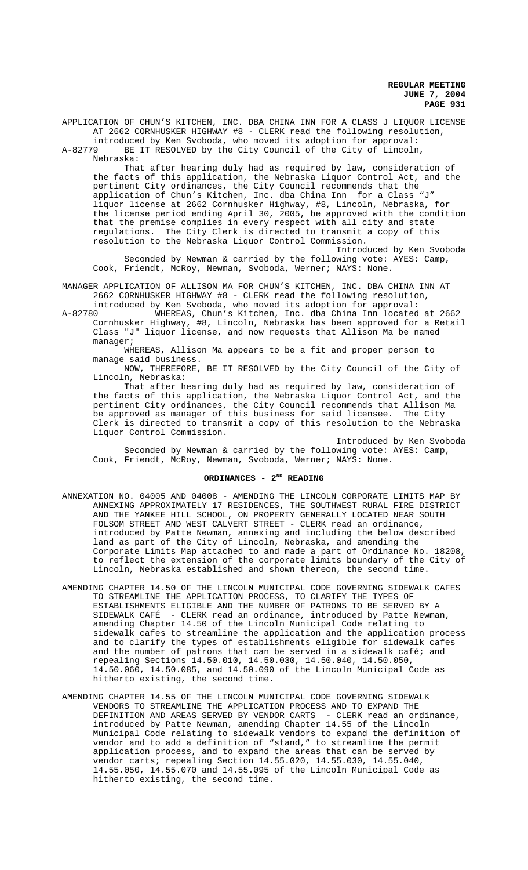APPLICATION OF CHUN'S KITCHEN, INC. DBA CHINA INN FOR A CLASS J LIQUOR LICENSE AT 2662 CORNHUSKER HIGHWAY #8 - CLERK read the following resolution, introduced by Ken Svoboda, who moved its adoption for approval:

A-82779 BE IT RESOLVED by the City Council of the City of Lincoln, Nebraska:

That after hearing duly had as required by law, consideration of the facts of this application, the Nebraska Liquor Control Act, and the pertinent City ordinances, the City Council recommends that the application of Chun's Kitchen, Inc. dba China Inn for a Class "J" liquor license at 2662 Cornhusker Highway, #8, Lincoln, Nebraska, for the license period ending April 30, 2005, be approved with the condition that the premise complies in every respect with all city and state regulations. The City Clerk is directed to transmit a copy of this resolution to the Nebraska Liquor Control Commission.

Introduced by Ken Svoboda Seconded by Newman & carried by the following vote: AYES: Camp, Cook, Friendt, McRoy, Newman, Svoboda, Werner; NAYS: None.

MANAGER APPLICATION OF ALLISON MA FOR CHUN'S KITCHEN, INC. DBA CHINA INN AT 2662 CORNHUSKER HIGHWAY #8 - CLERK read the following resolution,

introduced by Ken Svoboda, who moved its adoption for approval:<br>A-82780 WHEREAS, Chun's Kitchen, Inc. dba China Inn located A-82780 WHEREAS, Chun's Kitchen, Inc. dba China Inn located at 2662 Cornhusker Highway, #8, Lincoln, Nebraska has been approved for a Retail

Class "J" liquor license, and now requests that Allison Ma be named manager;

WHEREAS, Allison Ma appears to be a fit and proper person to manage said business.

NOW, THEREFORE, BE IT RESOLVED by the City Council of the City of Lincoln, Nebraska:

That after hearing duly had as required by law, consideration of the facts of this application, the Nebraska Liquor Control Act, and the pertinent City ordinances, the City Council recommends that Allison Ma be approved as manager of this business for said licensee. The City Clerk is directed to transmit a copy of this resolution to the Nebraska Liquor Control Commission.

Introduced by Ken Svoboda Seconded by Newman & carried by the following vote: AYES: Camp, Cook, Friendt, McRoy, Newman, Svoboda, Werner; NAYS: None.

## **ORDINANCES - 2ND READING**

- ANNEXATION NO. 04005 AND 04008 AMENDING THE LINCOLN CORPORATE LIMITS MAP BY ANNEXING APPROXIMATELY 17 RESIDENCES, THE SOUTHWEST RURAL FIRE DISTRICT AND THE YANKEE HILL SCHOOL, ON PROPERTY GENERALLY LOCATED NEAR SOUTH FOLSOM STREET AND WEST CALVERT STREET - CLERK read an ordinance, introduced by Patte Newman, annexing and including the below described land as part of the City of Lincoln, Nebraska, and amending the Corporate Limits Map attached to and made a part of Ordinance No. 18208, to reflect the extension of the corporate limits boundary of the City of Lincoln, Nebraska established and shown thereon, the second time.
- AMENDING CHAPTER 14.50 OF THE LINCOLN MUNICIPAL CODE GOVERNING SIDEWALK CAFES TO STREAMLINE THE APPLICATION PROCESS, TO CLARIFY THE TYPES OF ESTABLISHMENTS ELIGIBLE AND THE NUMBER OF PATRONS TO BE SERVED BY A SIDEWALK CAFÉ - CLERK read an ordinance, introduced by Patte Newman, amending Chapter 14.50 of the Lincoln Municipal Code relating to sidewalk cafes to streamline the application and the application process and to clarify the types of establishments eligible for sidewalk cafes and the number of patrons that can be served in a sidewalk café; and repealing Sections 14.50.010, 14.50.030, 14.50.040, 14.50.050, 14.50.060, 14.50.085, and 14.50.090 of the Lincoln Municipal Code as hitherto existing, the second time.
- AMENDING CHAPTER 14.55 OF THE LINCOLN MUNICIPAL CODE GOVERNING SIDEWALK VENDORS TO STREAMLINE THE APPLICATION PROCESS AND TO EXPAND THE DEFINITION AND AREAS SERVED BY VENDOR CARTS - CLERK read an ordinance, introduced by Patte Newman, amending Chapter 14.55 of the Lincoln Municipal Code relating to sidewalk vendors to expand the definition of vendor and to add a definition of "stand," to streamline the permit application process, and to expand the areas that can be served by vendor carts; repealing Section 14.55.020, 14.55.030, 14.55.040, 14.55.050, 14.55.070 and 14.55.095 of the Lincoln Municipal Code as hitherto existing, the second time.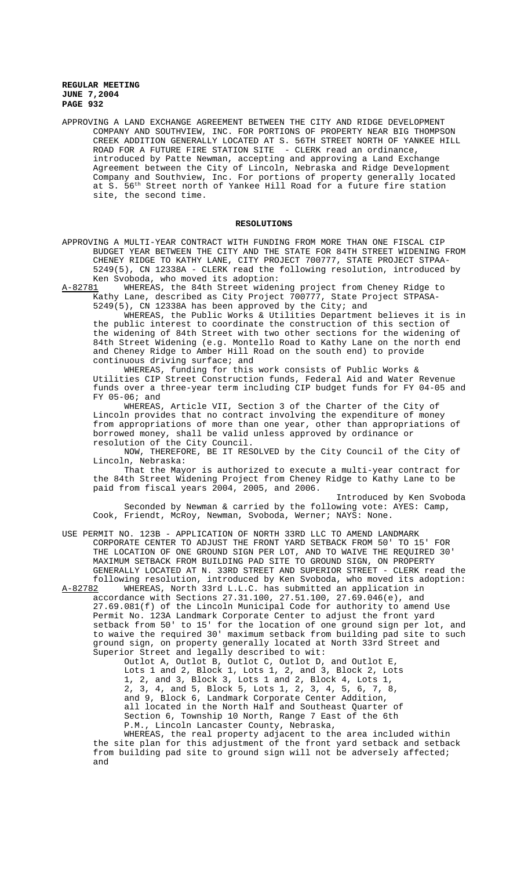APPROVING A LAND EXCHANGE AGREEMENT BETWEEN THE CITY AND RIDGE DEVELOPMENT COMPANY AND SOUTHVIEW, INC. FOR PORTIONS OF PROPERTY NEAR BIG THOMPSON CREEK ADDITION GENERALLY LOCATED AT S. 56TH STREET NORTH OF YANKEE HILL ROAD FOR A FUTURE FIRE STATION SITE - CLERK read an ordinance, introduced by Patte Newman, accepting and approving a Land Exchange Agreement between the City of Lincoln, Nebraska and Ridge Development Company and Southview, Inc. For portions of property generally located at S. 56th Street north of Yankee Hill Road for a future fire station site, the second time.

## **RESOLUTIONS**

APPROVING A MULTI-YEAR CONTRACT WITH FUNDING FROM MORE THAN ONE FISCAL CIP BUDGET YEAR BETWEEN THE CITY AND THE STATE FOR 84TH STREET WIDENING FROM CHENEY RIDGE TO KATHY LANE, CITY PROJECT 700777, STATE PROJECT STPAA-5249(5), CN 12338A - CLERK read the following resolution, introduced by Ken Svoboda, who moved its adoption:

A-82781 WHEREAS, the 84th Street widening project from Cheney Ridge to Kathy Lane, described as City Project 700777, State Project STPASA-5249(5), CN 12338A has been approved by the City; and

WHEREAS, the Public Works & Utilities Department believes it is in the public interest to coordinate the construction of this section of the widening of 84th Street with two other sections for the widening of 84th Street Widening (e.g. Montello Road to Kathy Lane on the north end and Cheney Ridge to Amber Hill Road on the south end) to provide continuous driving surface; and

WHEREAS, funding for this work consists of Public Works & Utilities CIP Street Construction funds, Federal Aid and Water Revenue funds over a three-year term including CIP budget funds for FY 04-05 and FY 05-06; and

WHEREAS, Article VII, Section 3 of the Charter of the City of Lincoln provides that no contract involving the expenditure of money from appropriations of more than one year, other than appropriations of borrowed money, shall be valid unless approved by ordinance or resolution of the City Council.

NOW, THEREFORE, BE IT RESOLVED by the City Council of the City of Lincoln, Nebraska:

That the Mayor is authorized to execute a multi-year contract for the 84th Street Widening Project from Cheney Ridge to Kathy Lane to be paid from fiscal years 2004, 2005, and 2006.

Introduced by Ken Svoboda Seconded by Newman & carried by the following vote: AYES: Camp, Cook, Friendt, McRoy, Newman, Svoboda, Werner; NAYS: None.

USE PERMIT NO. 123B - APPLICATION OF NORTH 33RD LLC TO AMEND LANDMARK CORPORATE CENTER TO ADJUST THE FRONT YARD SETBACK FROM 50' TO 15' FOR THE LOCATION OF ONE GROUND SIGN PER LOT, AND TO WAIVE THE REQUIRED 30' MAXIMUM SETBACK FROM BUILDING PAD SITE TO GROUND SIGN, ON PROPERTY GENERALLY LOCATED AT N. 33RD STREET AND SUPERIOR STREET - CLERK read the following resolution, introduced by Ken Svoboda, who moved its adoption:<br>A-82782 WHEREAS. North 33rd L.L.C. has submitted an application in

WHEREAS, North 33rd L.L.C. has submitted an application in accordance with Sections 27.31.100, 27.51.100, 27.69.046(e), and 27.69.081(f) of the Lincoln Municipal Code for authority to amend Use Permit No. 123A Landmark Corporate Center to adjust the front yard setback from 50' to 15' for the location of one ground sign per lot, and to waive the required 30' maximum setback from building pad site to such ground sign, on property generally located at North 33rd Street and Superior Street and legally described to wit:

Outlot A, Outlot B, Outlot C, Outlot D, and Outlot E, Lots 1 and 2, Block 1, Lots 1, 2, and 3, Block 2, Lots 1, 2, and 3, Block 3, Lots 1 and 2, Block 4, Lots 1, 2, 3, 4, and 5, Block 5, Lots 1, 2, 3, 4, 5, 6, 7, 8, and 9, Block 6, Landmark Corporate Center Addition, all located in the North Half and Southeast Quarter of Section 6, Township 10 North, Range 7 East of the 6th P.M., Lincoln Lancaster County, Nebraska,

WHEREAS, the real property adjacent to the area included within the site plan for this adjustment of the front yard setback and setback from building pad site to ground sign will not be adversely affected; and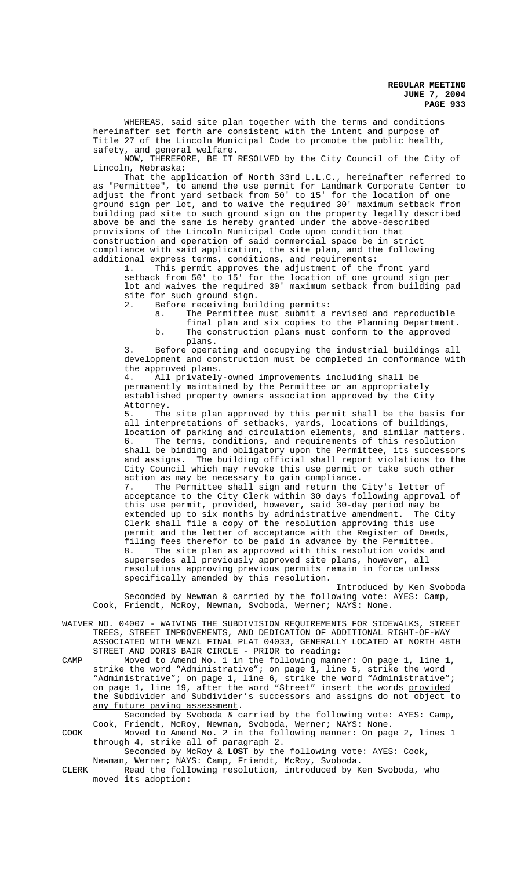WHEREAS, said site plan together with the terms and conditions hereinafter set forth are consistent with the intent and purpose of Title 27 of the Lincoln Municipal Code to promote the public health, safety, and general welfare.

NOW, THEREFORE, BE IT RESOLVED by the City Council of the City of Lincoln, Nebraska:

That the application of North 33rd L.L.C., hereinafter referred to as "Permittee", to amend the use permit for Landmark Corporate Center to adjust the front yard setback from 50' to 15' for the location of one ground sign per lot, and to waive the required 30' maximum setback from building pad site to such ground sign on the property legally described above be and the same is hereby granted under the above-described provisions of the Lincoln Municipal Code upon condition that construction and operation of said commercial space be in strict compliance with said application, the site plan, and the following additional express terms, conditions, and requirements:

1. This permit approves the adjustment of the front yard setback from 50' to 15' for the location of one ground sign per lot and waives the required 30' maximum setback from building pad site for such ground sign.<br>2. Before receiving bui

Before receiving building permits:

a. The Permittee must submit a revised and reproducible final plan and six copies to the Planning Department.

b. The construction plans must conform to the approved plans.

3. Before operating and occupying the industrial buildings all development and construction must be completed in conformance with the approved plans.

4. All privately-owned improvements including shall be permanently maintained by the Permittee or an appropriately established property owners association approved by the City Attorney.<br>5. The

The site plan approved by this permit shall be the basis for all interpretations of setbacks, yards, locations of buildings, location of parking and circulation elements, and similar matters. 6. The terms, conditions, and requirements of this resolution shall be binding and obligatory upon the Permittee, its successors and assigns. The building official shall report violations to the City Council which may revoke this use permit or take such other action as may be necessary to gain compliance.

7. The Permittee shall sign and return the City's letter of acceptance to the City Clerk within 30 days following approval of this use permit, provided, however, said 30-day period may be extended up to six months by administrative amendment. The City Clerk shall file a copy of the resolution approving this use permit and the letter of acceptance with the Register of Deeds, filing fees therefor to be paid in advance by the Permittee.<br>8. The site plan as approved with this resolution voids a The site plan as approved with this resolution voids and supersedes all previously approved site plans, however, all resolutions approving previous permits remain in force unless specifically amended by this resolution.

Introduced by Ken Svoboda Seconded by Newman & carried by the following vote: AYES: Camp, Cook, Friendt, McRoy, Newman, Svoboda, Werner; NAYS: None.

WAIVER NO. 04007 - WAIVING THE SUBDIVISION REQUIREMENTS FOR SIDEWALKS, STREET TREES, STREET IMPROVEMENTS, AND DEDICATION OF ADDITIONAL RIGHT-OF-WAY ASSOCIATED WITH WENZL FINAL PLAT 04033, GENERALLY LOCATED AT NORTH 48TH STREET AND DORIS BAIR CIRCLE - PRIOR to reading:

CAMP Moved to Amend No. 1 in the following manner: On page 1, line 1, strike the word "Administrative"; on page 1, line 5, strike the word "Administrative"; on page 1, line 6, strike the word "Administrative"; on page 1, line 19, after the word "Street" insert the words provided the Subdivider and Subdivider's successors and assigns do not object to any future paving assessment.

Seconded by Svoboda & carried by the following vote: AYES: Camp, Cook, Friendt, McRoy, Newman, Svoboda, Werner; NAYS: None.

COOK Moved to Amend No. 2 in the following manner: On page 2, lines 1 through 4, strike all of paragraph 2. Seconded by McRoy & **LOST** by the following vote: AYES: Cook,

Newman, Werner; NAYS: Camp, Friendt, McRoy, Svoboda.

CLERK Read the following resolution, introduced by Ken Svoboda, who moved its adoption: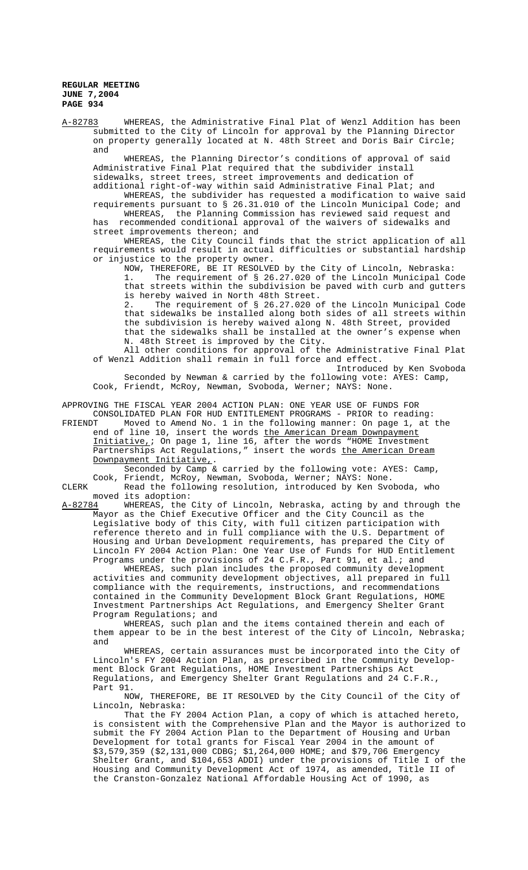A-82783 WHEREAS, the Administrative Final Plat of Wenzl Addition has been submitted to the City of Lincoln for approval by the Planning Director on property generally located at N. 48th Street and Doris Bair Circle; and

WHEREAS, the Planning Director's conditions of approval of said Administrative Final Plat required that the subdivider install sidewalks, street trees, street improvements and dedication of additional right-of-way within said Administrative Final Plat; and

WHEREAS, the subdivider has requested a modification to waive said requirements pursuant to § 26.31.010 of the Lincoln Municipal Code; and WHEREAS, the Planning Commission has reviewed said request and has recommended conditional approval of the waivers of sidewalks and

street improvements thereon; and

WHEREAS, the City Council finds that the strict application of all requirements would result in actual difficulties or substantial hardship or injustice to the property owner.

NOW, THEREFORE, BE IT RESOLVED by the City of Lincoln, Nebraska: 1. The requirement of § 26.27.020 of the Lincoln Municipal Code that streets within the subdivision be paved with curb and gutters is hereby waived in North 48th Street.<br>2. The requirement of \$26,27,020 o

The requirement of § 26.27.020 of the Lincoln Municipal Code that sidewalks be installed along both sides of all streets within the subdivision is hereby waived along N. 48th Street, provided that the sidewalks shall be installed at the owner's expense when N. 48th Street is improved by the City.

All other conditions for approval of the Administrative Final Plat of Wenzl Addition shall remain in full force and effect.

Introduced by Ken Svoboda Seconded by Newman & carried by the following vote: AYES: Camp, Cook, Friendt, McRoy, Newman, Svoboda, Werner; NAYS: None.

APPROVING THE FISCAL YEAR 2004 ACTION PLAN: ONE YEAR USE OF FUNDS FOR

CONSOLIDATED PLAN FOR HUD ENTITLEMENT PROGRAMS - PRIOR to reading:<br>FRIENDT Moved to Amend No. 1 in the following manner: On page 1, at Moved to Amend No. 1 in the following manner: On page 1, at the end of line 10, insert the words the American Dream Downpayment Initiative,; On page 1, line 16, after the words "HOME Investment Partnerships Act Regulations," insert the words <u>the American Dream</u> Downpayment Initiative,. Seconded by Camp & carried by the following vote: AYES: Camp,

Cook, Friendt, McRoy, Newman, Svoboda, Werner; NAYS: None.

CLERK Read the following resolution, introduced by Ken Svoboda, who moved its adoption:<br>A-82784 WHEREAS, the

A-82784 WHEREAS, the City of Lincoln, Nebraska, acting by and through the Mayor as the Chief Executive Officer and the City Council as the Legislative body of this City, with full citizen participation with reference thereto and in full compliance with the U.S. Department of Housing and Urban Development requirements, has prepared the City of Lincoln FY 2004 Action Plan: One Year Use of Funds for HUD Entitlement Programs under the provisions of 24 C.F.R., Part 91, et al.; and

WHEREAS, such plan includes the proposed community development activities and community development objectives, all prepared in full compliance with the requirements, instructions, and recommendations contained in the Community Development Block Grant Regulations, HOME Investment Partnerships Act Regulations, and Emergency Shelter Grant Program Regulations; and

WHEREAS, such plan and the items contained therein and each of them appear to be in the best interest of the City of Lincoln, Nebraska; and

WHEREAS, certain assurances must be incorporated into the City of Lincoln's FY 2004 Action Plan, as prescribed in the Community Development Block Grant Regulations, HOME Investment Partnerships Act Regulations, and Emergency Shelter Grant Regulations and 24 C.F.R., Part 91.

NOW, THEREFORE, BE IT RESOLVED by the City Council of the City of Lincoln, Nebraska:

That the FY 2004 Action Plan, a copy of which is attached hereto, is consistent with the Comprehensive Plan and the Mayor is authorized to submit the FY 2004 Action Plan to the Department of Housing and Urban Development for total grants for Fiscal Year 2004 in the amount of \$3,579,359 (\$2,131,000 CDBG; \$1,264,000 HOME; and \$79,706 Emergency Shelter Grant, and \$104,653 ADDI) under the provisions of Title I of the Housing and Community Development Act of 1974, as amended, Title II of the Cranston-Gonzalez National Affordable Housing Act of 1990, as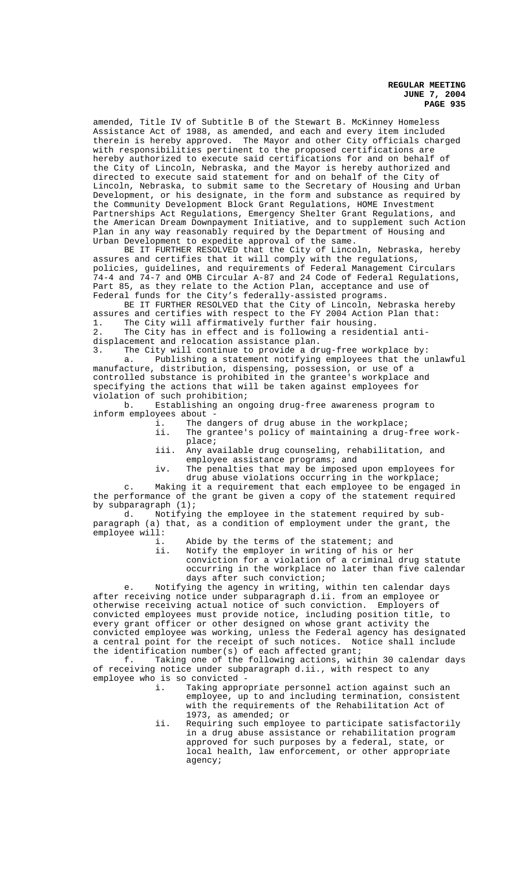amended, Title IV of Subtitle B of the Stewart B. McKinney Homeless Assistance Act of 1988, as amended, and each and every item included therein is hereby approved. The Mayor and other City officials charged with responsibilities pertinent to the proposed certifications are hereby authorized to execute said certifications for and on behalf of the City of Lincoln, Nebraska, and the Mayor is hereby authorized and directed to execute said statement for and on behalf of the City of Lincoln, Nebraska, to submit same to the Secretary of Housing and Urban Development, or his designate, in the form and substance as required by the Community Development Block Grant Regulations, HOME Investment Partnerships Act Regulations, Emergency Shelter Grant Regulations, and the American Dream Downpayment Initiative, and to supplement such Action Plan in any way reasonably required by the Department of Housing and Urban Development to expedite approval of the same.

BE IT FURTHER RESOLVED that the City of Lincoln, Nebraska, hereby assures and certifies that it will comply with the regulations, policies, guidelines, and requirements of Federal Management Circulars 74-4 and 74-7 and OMB Circular A-87 and 24 Code of Federal Regulations, Part 85, as they relate to the Action Plan, acceptance and use of Federal funds for the City's federally-assisted programs.

BE IT FURTHER RESOLVED that the City of Lincoln, Nebraska hereby assures and certifies with respect to the FY 2004 Action Plan that: 1. The City will affirmatively further fair housing.

2. The City has in effect and is following a residential antidisplacement and relocation assistance plan.

3. The City will continue to provide a drug-free workplace by: a. Publishing a statement notifying employees that the unlawful manufacture, distribution, dispensing, possession, or use of a controlled substance is prohibited in the grantee's workplace and specifying the actions that will be taken against employees for violation of such prohibition;

b. Establishing an ongoing drug-free awareness program to inform employees about

- i. The dangers of drug abuse in the workplace;<br>ii. The grantee's policy of maintaining a drug-
- The grantee's policy of maintaining a drug-free workplace;
- iii. Any available drug counseling, rehabilitation, and employee assistance programs; and
- iv. The penalties that may be imposed upon employees for drug abuse violations occurring in the workplace;

c. Making it a requirement that each employee to be engaged in the performance of the grant be given a copy of the statement required by subparagraph (1);

d. Notifying the employee in the statement required by subparagraph (a) that, as a condition of employment under the grant, the employee will:

- i. Abide by the terms of the statement; and<br>ii. Notify the employer in writing of his or
	- Notify the employer in writing of his or her conviction for a violation of a criminal drug statute occurring in the workplace no later than five calendar days after such conviction;

e. Notifying the agency in writing, within ten calendar days after receiving notice under subparagraph d.ii. from an employee or otherwise receiving actual notice of such conviction. Employers of convicted employees must provide notice, including position title, to every grant officer or other designed on whose grant activity the convicted employee was working, unless the Federal agency has designated a central point for the receipt of such notices. Notice shall include the identification number(s) of each affected grant;

f. Taking one of the following actions, within 30 calendar days of receiving notice under subparagraph d.ii., with respect to any employee who is so convicted<br>i. Taking appr

- Taking appropriate personnel action against such an employee, up to and including termination, consistent with the requirements of the Rehabilitation Act of 1973, as amended; or
- ii. Requiring such employee to participate satisfactorily in a drug abuse assistance or rehabilitation program approved for such purposes by a federal, state, or local health, law enforcement, or other appropriate agency;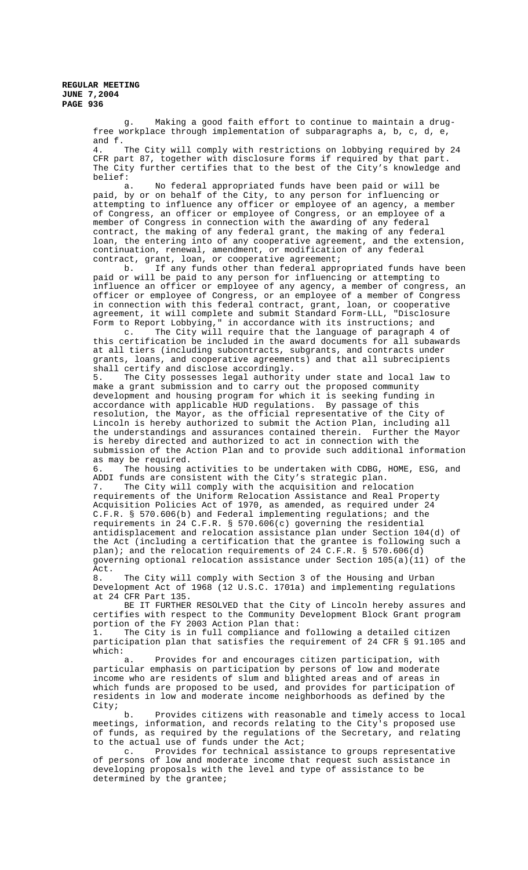> g. Making a good faith effort to continue to maintain a drugfree workplace through implementation of subparagraphs a, b, c, d, e, and f.

4. The City will comply with restrictions on lobbying required by 24 CFR part 87, together with disclosure forms if required by that part. The City further certifies that to the best of the City's knowledge and belief:

a. No federal appropriated funds have been paid or will be paid, by or on behalf of the City, to any person for influencing or attempting to influence any officer or employee of an agency, a member of Congress, an officer or employee of Congress, or an employee of a member of Congress in connection with the awarding of any federal contract, the making of any federal grant, the making of any federal loan, the entering into of any cooperative agreement, and the extension, continuation, renewal, amendment, or modification of any federal

contract, grant, loan, or cooperative agreement;<br>b. If any funds other than federal appre If any funds other than federal appropriated funds have been paid or will be paid to any person for influencing or attempting to influence an officer or employee of any agency, a member of congress, an officer or employee of Congress, or an employee of a member of Congress in connection with this federal contract, grant, loan, or cooperative agreement, it will complete and submit Standard Form-LLL, "Disclosure Form to Report Lobbying," in accordance with its instructions; and

c. The City will require that the language of paragraph 4 of this certification be included in the award documents for all subawards at all tiers (including subcontracts, subgrants, and contracts under grants, loans, and cooperative agreements) and that all subrecipients shall certify and disclose accordingly.

5. The City possesses legal authority under state and local law to make a grant submission and to carry out the proposed community development and housing program for which it is seeking funding in accordance with applicable HUD regulations. By passage of this resolution, the Mayor, as the official representative of the City of Lincoln is hereby authorized to submit the Action Plan, including all the understandings and assurances contained therein. Further the Mayor is hereby directed and authorized to act in connection with the submission of the Action Plan and to provide such additional information as may be required.

6. The housing activities to be undertaken with CDBG, HOME, ESG, and ADDI funds are consistent with the City's strategic plan.

7. The City will comply with the acquisition and relocation requirements of the Uniform Relocation Assistance and Real Property Acquisition Policies Act of 1970, as amended, as required under 24 C.F.R. § 570.606(b) and Federal implementing regulations; and the requirements in 24 C.F.R. § 570.606(c) governing the residential antidisplacement and relocation assistance plan under Section 104(d) of the Act (including a certification that the grantee is following such a plan); and the relocation requirements of 24 C.F.R. § 570.606(d) governing optional relocation assistance under Section 105(a)(11) of the Act.

8. The City will comply with Section 3 of the Housing and Urban Development Act of 1968 (12 U.S.C. 1701a) and implementing regulations at 24 CFR Part 135.

BE IT FURTHER RESOLVED that the City of Lincoln hereby assures and certifies with respect to the Community Development Block Grant program portion of the FY 2003 Action Plan that:

1. The City is in full compliance and following a detailed citizen participation plan that satisfies the requirement of 24 CFR § 91.105 and which:

a. Provides for and encourages citizen participation, with particular emphasis on participation by persons of low and moderate income who are residents of slum and blighted areas and of areas in which funds are proposed to be used, and provides for participation of residents in low and moderate income neighborhoods as defined by the City;

b. Provides citizens with reasonable and timely access to local meetings, information, and records relating to the City's proposed use of funds, as required by the regulations of the Secretary, and relating to the actual use of funds under the Act;

c. Provides for technical assistance to groups representative of persons of low and moderate income that request such assistance in developing proposals with the level and type of assistance to be determined by the grantee;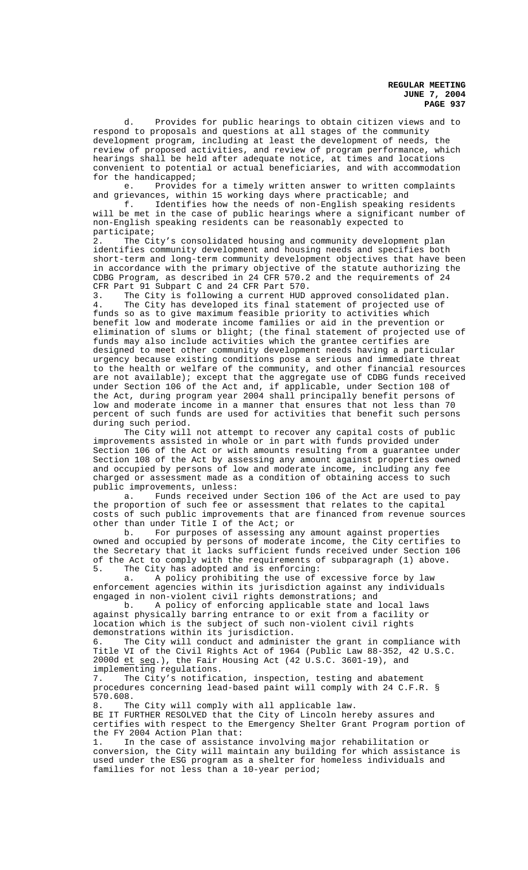d. Provides for public hearings to obtain citizen views and to respond to proposals and questions at all stages of the community development program, including at least the development of needs, the review of proposed activities, and review of program performance, which hearings shall be held after adequate notice, at times and locations convenient to potential or actual beneficiaries, and with accommodation for the handicapped;

e. Provides for a timely written answer to written complaints and grievances, within 15 working days where practicable; and

f. Identifies how the needs of non-English speaking residents will be met in the case of public hearings where a significant number of non-English speaking residents can be reasonably expected to participate;

2. The City's consolidated housing and community development plan identifies community development and housing needs and specifies both short-term and long-term community development objectives that have been in accordance with the primary objective of the statute authorizing the CDBG Program, as described in 24 CFR 570.2 and the requirements of 24 CFR Part 91 Subpart C and 24 CFR Part 570.<br>3. The City is following a current HUD.

3. The City is following a current HUD approved consolidated plan.<br>4. The City has developed its final statement of projected use of The City has developed its final statement of projected use of funds so as to give maximum feasible priority to activities which benefit low and moderate income families or aid in the prevention or elimination of slums or blight; (the final statement of projected use of funds may also include activities which the grantee certifies are designed to meet other community development needs having a particular urgency because existing conditions pose a serious and immediate threat to the health or welfare of the community, and other financial resources are not available); except that the aggregate use of CDBG funds received under Section 106 of the Act and, if applicable, under Section 108 of the Act, during program year 2004 shall principally benefit persons of low and moderate income in a manner that ensures that not less than 70 percent of such funds are used for activities that benefit such persons during such period.

The City will not attempt to recover any capital costs of public improvements assisted in whole or in part with funds provided under Section 106 of the Act or with amounts resulting from a guarantee under Section 108 of the Act by assessing any amount against properties owned and occupied by persons of low and moderate income, including any fee charged or assessment made as a condition of obtaining access to such public improvements, unless:

a. Funds received under Section 106 of the Act are used to pay the proportion of such fee or assessment that relates to the capital costs of such public improvements that are financed from revenue sources other than under Title I of the Act; or

b. For purposes of assessing any amount against properties owned and occupied by persons of moderate income, the City certifies to the Secretary that it lacks sufficient funds received under Section 106 of the Act to comply with the requirements of subparagraph (1) above. 5. The City has adopted and is enforcing:

a. A policy prohibiting the use of excessive force by law enforcement agencies within its jurisdiction against any individuals engaged in non-violent civil rights demonstrations; and<br>b. A policy of enforcing applicable state and

b. A policy of enforcing applicable state and local laws against physically barring entrance to or exit from a facility or location which is the subject of such non-violent civil rights demonstrations within its jurisdiction.

6. The City will conduct and administer the grant in compliance with Title VI of the Civil Rights Act of 1964 (Public Law 88-352, 42 U.S.C. 2000d et seq.), the Fair Housing Act (42 U.S.C. 3601-19), and

implementing regulations.<br>7. The City's notifica The City's notification, inspection, testing and abatement procedures concerning lead-based paint will comply with 24 C.F.R. § 570.608.

8. The City will comply with all applicable law. BE IT FURTHER RESOLVED that the City of Lincoln hereby assures and certifies with respect to the Emergency Shelter Grant Program portion of the FY 2004 Action Plan that:

1. In the case of assistance involving major rehabilitation or conversion, the City will maintain any building for which assistance is used under the ESG program as a shelter for homeless individuals and families for not less than a 10-year period;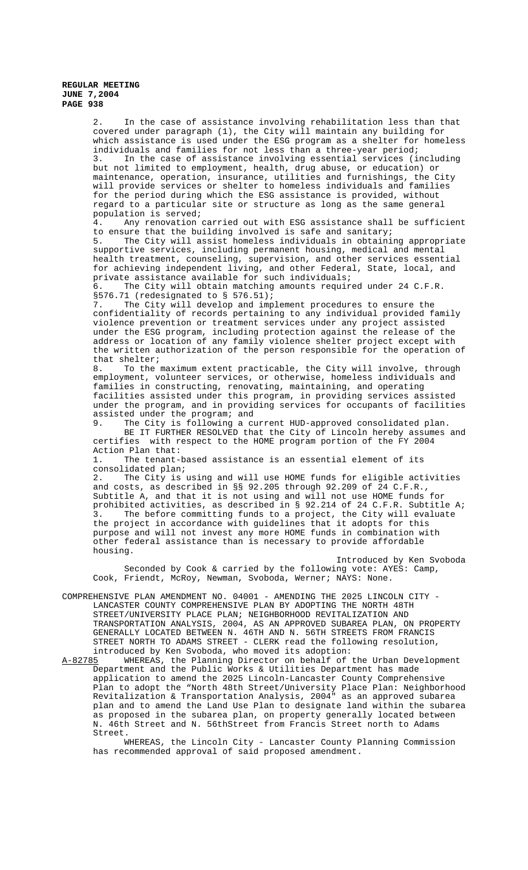2. In the case of assistance involving rehabilitation less than that covered under paragraph (1), the City will maintain any building for which assistance is used under the ESG program as a shelter for homeless individuals and families for not less than a three-year period;

In the case of assistance involving essential services (including but not limited to employment, health, drug abuse, or education) or maintenance, operation, insurance, utilities and furnishings, the City will provide services or shelter to homeless individuals and families for the period during which the ESG assistance is provided, without regard to a particular site or structure as long as the same general population is served;

4. Any renovation carried out with ESG assistance shall be sufficient to ensure that the building involved is safe and sanitary;<br>5. The City will assist homeless individuals in obtaini

The City will assist homeless individuals in obtaining appropriate supportive services, including permanent housing, medical and mental health treatment, counseling, supervision, and other services essential for achieving independent living, and other Federal, State, local, and private assistance available for such individuals;

6. The City will obtain matching amounts required under 24 C.F.R. §576.71 (redesignated to § 576.51);<br>7. The City will develop and imp

The City will develop and implement procedures to ensure the confidentiality of records pertaining to any individual provided family violence prevention or treatment services under any project assisted under the ESG program, including protection against the release of the address or location of any family violence shelter project except with the written authorization of the person responsible for the operation of that shelter;

8. To the maximum extent practicable, the City will involve, through employment, volunteer services, or otherwise, homeless individuals and families in constructing, renovating, maintaining, and operating facilities assisted under this program, in providing services assisted under the program, and in providing services for occupants of facilities assisted under the program; and<br>9. The City is following a c

The City is following a current HUD-approved consolidated plan. BE IT FURTHER RESOLVED that the City of Lincoln hereby assumes and certifies with respect to the HOME program portion of the FY 2004 Action Plan that:

1. The tenant-based assistance is an essential element of its consolidated plan;

2. The City is using and will use HOME funds for eligible activities and costs, as described in §§ 92.205 through 92.209 of 24 C.F.R., Subtitle A, and that it is not using and will not use HOME funds for prohibited activities, as described in § 92.214 of 24 C.F.R. Subtitle A; 3. The before committing funds to a project, the City will evaluate the project in accordance with guidelines that it adopts for this purpose and will not invest any more HOME funds in combination with other federal assistance than is necessary to provide affordable housing.

Introduced by Ken Svoboda Seconded by Cook & carried by the following vote: AYES: Camp, Cook, Friendt, McRoy, Newman, Svoboda, Werner; NAYS: None.

COMPREHENSIVE PLAN AMENDMENT NO. 04001 - AMENDING THE 2025 LINCOLN CITY - LANCASTER COUNTY COMPREHENSIVE PLAN BY ADOPTING THE NORTH 48TH STREET/UNIVERSITY PLACE PLAN; NEIGHBORHOOD REVITALIZATION AND TRANSPORTATION ANALYSIS, 2004, AS AN APPROVED SUBAREA PLAN, ON PROPERTY GENERALLY LOCATED BETWEEN N. 46TH AND N. 56TH STREETS FROM FRANCIS STREET NORTH TO ADAMS STREET - CLERK read the following resolution,

introduced by Ken Svoboda, who moved its adoption:<br>A-82785 WHEREAS, the Planning Director on behalf of WHEREAS, the Planning Director on behalf of the Urban Development Department and the Public Works & Utilities Department has made application to amend the 2025 Lincoln-Lancaster County Comprehensive Plan to adopt the "North 48th Street/University Place Plan: Neighborhood Revitalization & Transportation Analysis, 2004" as an approved subarea plan and to amend the Land Use Plan to designate land within the subarea as proposed in the subarea plan, on property generally located between N. 46th Street and N. 56thStreet from Francis Street north to Adams Street.

WHEREAS, the Lincoln City - Lancaster County Planning Commission has recommended approval of said proposed amendment.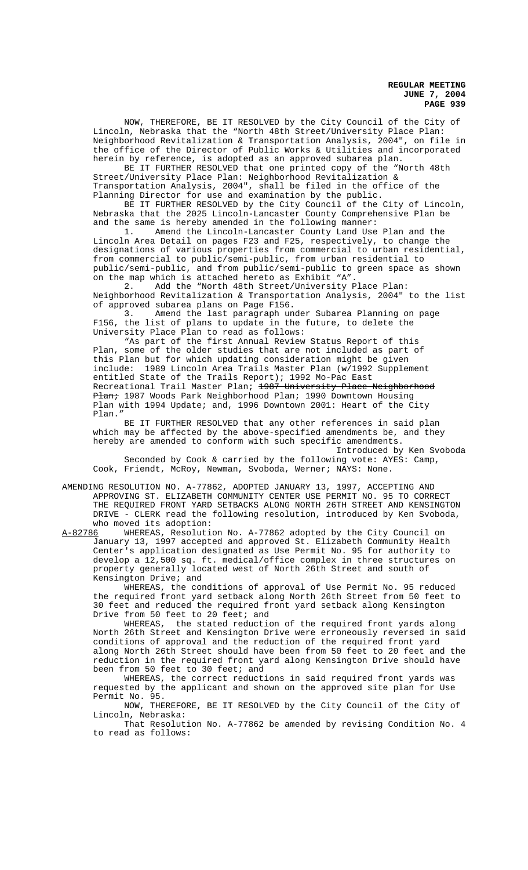NOW, THEREFORE, BE IT RESOLVED by the City Council of the City of Lincoln, Nebraska that the "North 48th Street/University Place Plan: Neighborhood Revitalization & Transportation Analysis, 2004", on file in the office of the Director of Public Works & Utilities and incorporated herein by reference, is adopted as an approved subarea plan.

BE IT FURTHER RESOLVED that one printed copy of the "North 48th Street/University Place Plan: Neighborhood Revitalization & Transportation Analysis, 2004", shall be filed in the office of the Planning Director for use and examination by the public.

BE IT FURTHER RESOLVED by the City Council of the City of Lincoln, Nebraska that the 2025 Lincoln-Lancaster County Comprehensive Plan be

and the same is hereby amended in the following manner:<br>1. Amend the Lincoln-Lancaster County Land Use Amend the Lincoln-Lancaster County Land Use Plan and the Lincoln Area Detail on pages F23 and F25, respectively, to change the designations of various properties from commercial to urban residential, from commercial to public/semi-public, from urban residential to public/semi-public, and from public/semi-public to green space as shown on the map which is attached hereto as Exhibit "A".

Add the "North 48th Street/University Place Plan: Neighborhood Revitalization & Transportation Analysis, 2004" to the list of approved subarea plans on Page F156.

3. Amend the last paragraph under Subarea Planning on page F156, the list of plans to update in the future, to delete the University Place Plan to read as follows:

"As part of the first Annual Review Status Report of this Plan, some of the older studies that are not included as part of this Plan but for which updating consideration might be given include: 1989 Lincoln Area Trails Master Plan (w/1992 Supplement entitled State of the Trails Report); 1992 Mo-Pac East Recreational Trail Master Plan; 1987 University Place Neighborhood Plan; 1987 Woods Park Neighborhood Plan; 1990 Downtown Housing Plan with 1994 Update; and, 1996 Downtown 2001: Heart of the City Plan."

BE IT FURTHER RESOLVED that any other references in said plan which may be affected by the above-specified amendments be, and they hereby are amended to conform with such specific amendments.

Introduced by Ken Svoboda Seconded by Cook & carried by the following vote: AYES: Camp, Cook, Friendt, McRoy, Newman, Svoboda, Werner; NAYS: None.

AMENDING RESOLUTION NO. A-77862, ADOPTED JANUARY 13, 1997, ACCEPTING AND APPROVING ST. ELIZABETH COMMUNITY CENTER USE PERMIT NO. 95 TO CORRECT THE REQUIRED FRONT YARD SETBACKS ALONG NORTH 26TH STREET AND KENSINGTON DRIVE - CLERK read the following resolution, introduced by Ken Svoboda, who moved its adoption:<br>A-82786 WHEREAS, Resoluti

WHEREAS, Resolution No. A-77862 adopted by the City Council on January 13, 1997 accepted and approved St. Elizabeth Community Health Center's application designated as Use Permit No. 95 for authority to develop a 12,500 sq. ft. medical/office complex in three structures on property generally located west of North 26th Street and south of Kensington Drive; and

WHEREAS, the conditions of approval of Use Permit No. 95 reduced the required front yard setback along North 26th Street from 50 feet to 30 feet and reduced the required front yard setback along Kensington Drive from 50 feet to 20 feet; and

WHEREAS, the stated reduction of the required front yards along North 26th Street and Kensington Drive were erroneously reversed in said conditions of approval and the reduction of the required front yard along North 26th Street should have been from 50 feet to 20 feet and the reduction in the required front yard along Kensington Drive should have been from 50 feet to 30 feet; and

WHEREAS, the correct reductions in said required front yards was requested by the applicant and shown on the approved site plan for Use Permit No. 95.

 NOW, THEREFORE, BE IT RESOLVED by the City Council of the City of Lincoln, Nebraska:

That Resolution No. A-77862 be amended by revising Condition No. 4 to read as follows: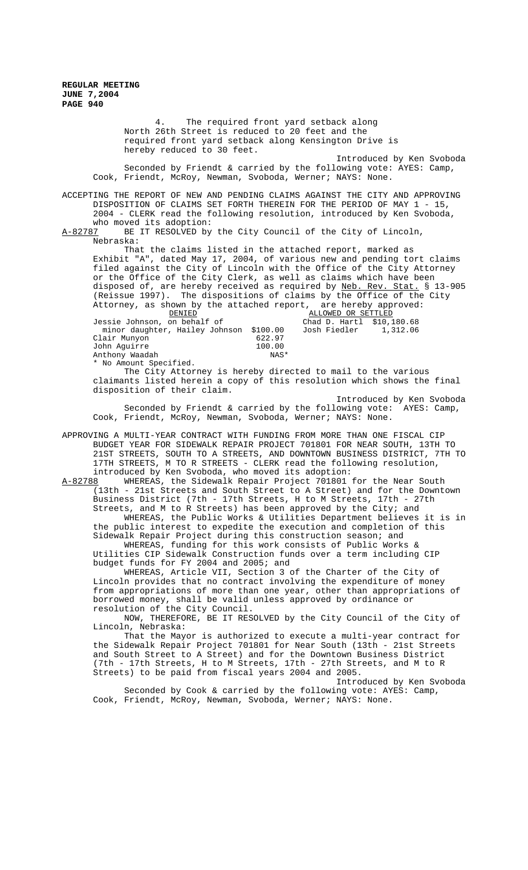4. The required front yard setback along North 26th Street is reduced to 20 feet and the required front yard setback along Kensington Drive is hereby reduced to 30 feet. Introduced by Ken Svoboda Seconded by Friendt & carried by the following vote: AYES: Camp, Cook, Friendt, McRoy, Newman, Svoboda, Werner; NAYS: None. ACCEPTING THE REPORT OF NEW AND PENDING CLAIMS AGAINST THE CITY AND APPROVING

DISPOSITION OF CLAIMS SET FORTH THEREIN FOR THE PERIOD OF MAY 1 - 15, 2004 - CLERK read the following resolution, introduced by Ken Svoboda, who moved its adoption:<br>A-82787 BE IT RESOLVED by

BE IT RESOLVED by the City Council of the City of Lincoln, Nebraska:

That the claims listed in the attached report, marked as Exhibit "A", dated May 17, 2004, of various new and pending tort claims filed against the City of Lincoln with the Office of the City Attorney or the Office of the City Clerk, as well as claims which have been disposed of, are hereby received as required by Neb. Rev. Stat. § 13-905 (Reissue 1997). The dispositions of claims by the Office of the City Attorney, as shown by the attached report, are hereby approved:

| DENIED                                  | ALLOWED OR SETTLED |                           |  |
|-----------------------------------------|--------------------|---------------------------|--|
| Jessie Johnson, on behalf of            |                    | Chad D. Hartl \$10,180.68 |  |
| minor daughter, Hailey Johnson \$100.00 |                    | Josh Fiedler 1,312.06     |  |
| Clair Munyon                            | 622.97             |                           |  |
| John Aquirre                            | 100.00             |                           |  |
| Anthony Waadah                          | NAS*               |                           |  |
| * No Amount Specified.                  |                    |                           |  |

The City Attorney is hereby directed to mail to the various claimants listed herein a copy of this resolution which shows the final disposition of their claim.

Introduced by Ken Svoboda Seconded by Friendt & carried by the following vote: AYES: Camp, Cook, Friendt, McRoy, Newman, Svoboda, Werner; NAYS: None.

APPROVING A MULTI-YEAR CONTRACT WITH FUNDING FROM MORE THAN ONE FISCAL CIP BUDGET YEAR FOR SIDEWALK REPAIR PROJECT 701801 FOR NEAR SOUTH, 13TH TO 21ST STREETS, SOUTH TO A STREETS, AND DOWNTOWN BUSINESS DISTRICT, 7TH TO 17TH STREETS, M TO R STREETS - CLERK read the following resolution, introduced by Ken Svoboda, who moved its adoption:

A-82788 WHEREAS, the Sidewalk Repair Project 701801 for the Near South (13th - 21st Streets and South Street to A Street) and for the Downtown Business District (7th - 17th Streets, H to M Streets, 17th - 27th Streets, and M to R Streets) has been approved by the City; and

WHEREAS, the Public Works & Utilities Department believes it is in the public interest to expedite the execution and completion of this Sidewalk Repair Project during this construction season; and

WHEREAS, funding for this work consists of Public Works & Utilities CIP Sidewalk Construction funds over a term including CIP budget funds for FY 2004 and 2005; and

WHEREAS, Article VII, Section 3 of the Charter of the City of Lincoln provides that no contract involving the expenditure of money from appropriations of more than one year, other than appropriations of borrowed money, shall be valid unless approved by ordinance or resolution of the City Council.

NOW, THEREFORE, BE IT RESOLVED by the City Council of the City of Lincoln, Nebraska:

That the Mayor is authorized to execute a multi-year contract for the Sidewalk Repair Project 701801 for Near South (13th - 21st Streets and South Street to A Street) and for the Downtown Business District (7th - 17th Streets, H to M Streets, 17th - 27th Streets, and M to R Streets) to be paid from fiscal years 2004 and 2005.

Introduced by Ken Svoboda Seconded by Cook & carried by the following vote: AYES: Camp, Cook, Friendt, McRoy, Newman, Svoboda, Werner; NAYS: None.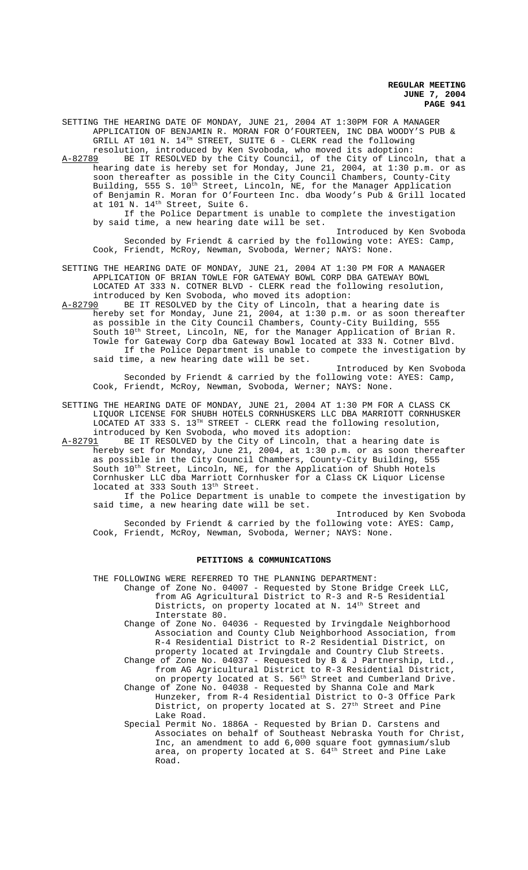SETTING THE HEARING DATE OF MONDAY, JUNE 21, 2004 AT 1:30PM FOR A MANAGER APPLICATION OF BENJAMIN R. MORAN FOR O'FOURTEEN, INC DBA WOODY'S PUB & GRILL AT 101 N.  $14^{TH}$  STREET, SUITE 6 - CLERK read the following resolution, introduced by Ken Svoboda, who moved its adoption:

A-82789 BE IT RESOLVED by the City Council, of the City of Lincoln, that a hearing date is hereby set for Monday, June 21, 2004, at 1:30 p.m. or as soon thereafter as possible in the City Council Chambers, County-City Building, 555 S. 10<sup>th</sup> Street, Lincoln, NE, for the Manager Application of Benjamin R. Moran for O'Fourteen Inc. dba Woody's Pub & Grill located at 101 N. 14<sup>th</sup> Street, Suite 6.

If the Police Department is unable to complete the investigation by said time, a new hearing date will be set.

Introduced by Ken Svoboda Seconded by Friendt & carried by the following vote: AYES: Camp, Cook, Friendt, McRoy, Newman, Svoboda, Werner; NAYS: None.

SETTING THE HEARING DATE OF MONDAY, JUNE 21, 2004 AT 1:30 PM FOR A MANAGER APPLICATION OF BRIAN TOWLE FOR GATEWAY BOWL CORP DBA GATEWAY BOWL LOCATED AT 333 N. COTNER BLVD - CLERK read the following resolution, introduced by Ken Svoboda, who moved its adoption:<br>A-82790 BE IT RESOLVED by the City of Lincoln, that

BE IT RESOLVED by the City of Lincoln, that a hearing date is hereby set for Monday, June 21, 2004, at 1:30 p.m. or as soon thereafter as possible in the City Council Chambers, County-City Building, 555 South  $10^{th}$  Street, Lincoln, NE, for the Manager Application of Brian R. Towle for Gateway Corp dba Gateway Bowl located at 333 N. Cotner Blvd. If the Police Department is unable to compete the investigation by said time, a new hearing date will be set.

Introduced by Ken Svoboda Seconded by Friendt & carried by the following vote: AYES: Camp, Cook, Friendt, McRoy, Newman, Svoboda, Werner; NAYS: None.

SETTING THE HEARING DATE OF MONDAY, JUNE 21, 2004 AT 1:30 PM FOR A CLASS CK LIQUOR LICENSE FOR SHUBH HOTELS CORNHUSKERS LLC DBA MARRIOTT CORNHUSKER LOCATED AT 333 S. 13TH STREET - CLERK read the following resolution, introduced by Ken Svoboda, who moved its adoption:<br>A-82791 BE IT RESOLVED by the City of Lincoln, that a

A-82791 BE IT RESOLVED by the City of Lincoln, that a hearing date is hereby set for Monday, June 21, 2004, at 1:30 p.m. or as soon thereafter as possible in the City Council Chambers, County-City Building, 555 South 10<sup>th</sup> Street, Lincoln, NE, for the Application of Shubh Hotels Cornhusker LLC dba Marriott Cornhusker for a Class CK Liquor License located at 333 South 13<sup>th</sup> Street.

If the Police Department is unable to compete the investigation by said time, a new hearing date will be set.

Introduced by Ken Svoboda Seconded by Friendt & carried by the following vote: AYES: Camp, Cook, Friendt, McRoy, Newman, Svoboda, Werner; NAYS: None.

#### **PETITIONS & COMMUNICATIONS**

THE FOLLOWING WERE REFERRED TO THE PLANNING DEPARTMENT:

Change of Zone No. 04007 - Requested by Stone Bridge Creek LLC, from AG Agricultural District to R-3 and R-5 Residential Districts, on property located at N. 14<sup>th</sup> Street and Interstate 80.

Change of Zone No. 04036 - Requested by Irvingdale Neighborhood Association and County Club Neighborhood Association, from R-4 Residential District to R-2 Residential District, on property located at Irvingdale and Country Club Streets. Change of Zone No. 04037 - Requested by B & J Partnership, Ltd.,

from AG Agricultural District to R-3 Residential District, on property located at S. 56<sup>th</sup> Street and Cumberland Drive. Change of Zone No. 04038 - Requested by Shanna Cole and Mark Hunzeker, from R-4 Residential District to O-3 Office Park District, on property located at S. 27<sup>th</sup> Street and Pine Lake Road.

Special Permit No. 1886A - Requested by Brian D. Carstens and Associates on behalf of Southeast Nebraska Youth for Christ, Inc, an amendment to add 6,000 square foot gymnasium/slub area, on property located at S.  $64^{\text{th}}$  Street and Pine Lake Road.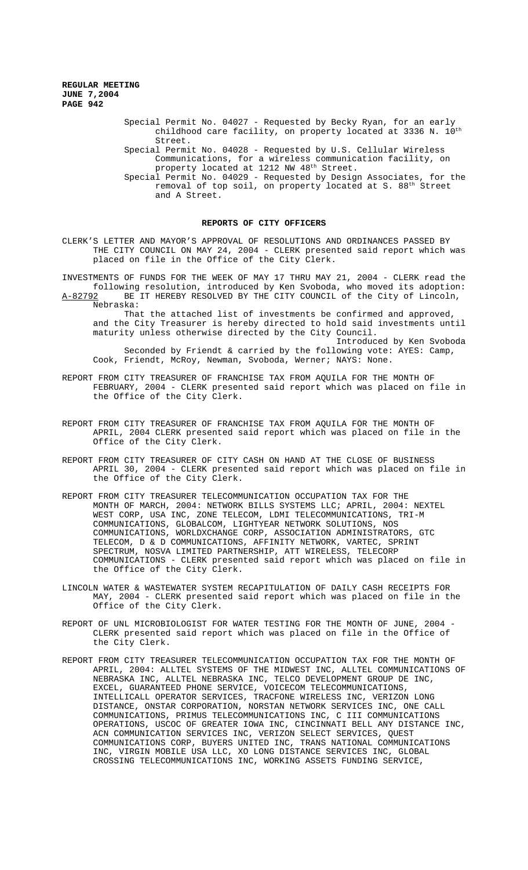Nebraska:

Special Permit No. 04027 - Requested by Becky Ryan, for an early childhood care facility, on property located at 3336 N.  $10^{\text{th}}$ Street. Special Permit No. 04028 - Requested by U.S. Cellular Wireless Communications, for a wireless communication facility, on property located at 1212 NW 48<sup>th</sup> Street. Special Permit No. 04029 - Requested by Design Associates, for the removal of top soil, on property located at S. 88th Street and A Street.

## **REPORTS OF CITY OFFICERS**

CLERK'S LETTER AND MAYOR'S APPROVAL OF RESOLUTIONS AND ORDINANCES PASSED BY THE CITY COUNCIL ON MAY 24, 2004 - CLERK presented said report which was placed on file in the Office of the City Clerk.

INVESTMENTS OF FUNDS FOR THE WEEK OF MAY 17 THRU MAY 21, 2004 - CLERK read the following resolution, introduced by Ken Svoboda, who moved its adoption: A-82792 BE IT HEREBY RESOLVED BY THE CITY COUNCIL of the City of Lincoln,

That the attached list of investments be confirmed and approved, and the City Treasurer is hereby directed to hold said investments until maturity unless otherwise directed by the City Council.

Introduced by Ken Svoboda Seconded by Friendt & carried by the following vote: AYES: Camp, Cook, Friendt, McRoy, Newman, Svoboda, Werner; NAYS: None.

- REPORT FROM CITY TREASURER OF FRANCHISE TAX FROM AQUILA FOR THE MONTH OF FEBRUARY, 2004 - CLERK presented said report which was placed on file in the Office of the City Clerk.
- REPORT FROM CITY TREASURER OF FRANCHISE TAX FROM AQUILA FOR THE MONTH OF APRIL, 2004 CLERK presented said report which was placed on file in the Office of the City Clerk.
- REPORT FROM CITY TREASURER OF CITY CASH ON HAND AT THE CLOSE OF BUSINESS APRIL 30, 2004 - CLERK presented said report which was placed on file in the Office of the City Clerk.
- REPORT FROM CITY TREASURER TELECOMMUNICATION OCCUPATION TAX FOR THE MONTH OF MARCH, 2004: NETWORK BILLS SYSTEMS LLC; APRIL, 2004: NEXTEL WEST CORP, USA INC, ZONE TELECOM, LDMI TELECOMMUNICATIONS, TRI-M COMMUNICATIONS, GLOBALCOM, LIGHTYEAR NETWORK SOLUTIONS, NOS COMMUNICATIONS, WORLDXCHANGE CORP, ASSOCIATION ADMINISTRATORS, TELECOM, D & D COMMUNICATIONS, AFFINITY NETWORK, VARTEC, SPRINT SPECTRUM, NOSVA LIMITED PARTNERSHIP, ATT WIRELESS, TELECORP COMMUNICATIONS - CLERK presented said report which was placed on file in the Office of the City Clerk.
- LINCOLN WATER & WASTEWATER SYSTEM RECAPITULATION OF DAILY CASH RECEIPTS FOR MAY, 2004 - CLERK presented said report which was placed on file in the Office of the City Clerk.
- REPORT OF UNL MICROBIOLOGIST FOR WATER TESTING FOR THE MONTH OF JUNE, 2004 CLERK presented said report which was placed on file in the Office of the City Clerk.
- REPORT FROM CITY TREASURER TELECOMMUNICATION OCCUPATION TAX FOR THE MONTH OF APRIL, 2004: ALLTEL SYSTEMS OF THE MIDWEST INC, ALLTEL COMMUNICATIONS OF NEBRASKA INC, ALLTEL NEBRASKA INC, TELCO DEVELOPMENT GROUP DE INC, EXCEL, GUARANTEED PHONE SERVICE, VOICECOM TELECOMMUNICATIONS, INTELLICALL OPERATOR SERVICES, TRACFONE WIRELESS INC, VERIZON LONG DISTANCE, ONSTAR CORPORATION, NORSTAN NETWORK SERVICES INC, ONE CALL COMMUNICATIONS, PRIMUS TELECOMMUNICATIONS INC, C III COMMUNICATIONS OPERATIONS, USCOC OF GREATER IOWA INC, CINCINNATI BELL ANY DISTANCE INC, ACN COMMUNICATION SERVICES INC, VERIZON SELECT SERVICES, QUEST COMMUNICATIONS CORP, BUYERS UNITED INC, TRANS NATIONAL COMMUNICATIONS INC, VIRGIN MOBILE USA LLC, XO LONG DISTANCE SERVICES INC, GLOBAL CROSSING TELECOMMUNICATIONS INC, WORKING ASSETS FUNDING SERVICE,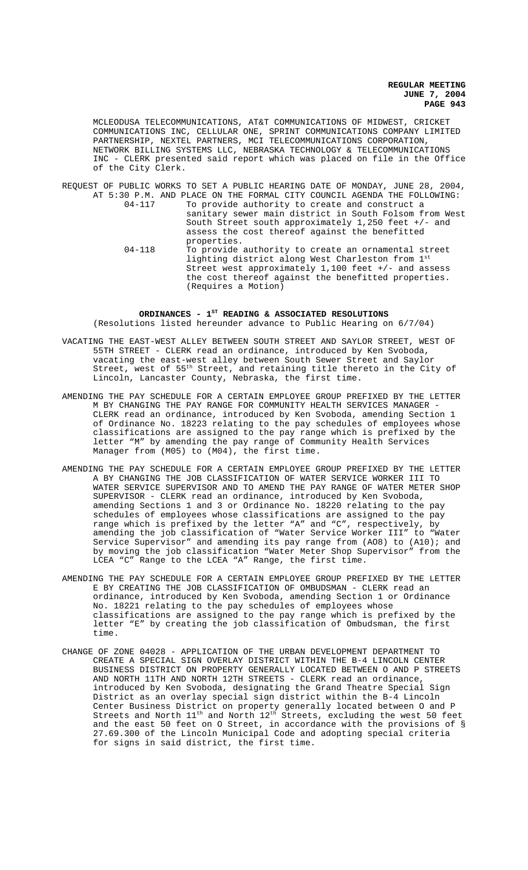MCLEODUSA TELECOMMUNICATIONS, AT&T COMMUNICATIONS OF MIDWEST, CRICKET COMMUNICATIONS INC, CELLULAR ONE, SPRINT COMMUNICATIONS COMPANY LIMITED PARTNERSHIP, NEXTEL PARTNERS, MCI TELECOMMUNICATIONS CORPORATION, NETWORK BILLING SYSTEMS LLC, NEBRASKA TECHNOLOGY & TELECOMMUNICATIONS INC - CLERK presented said report which was placed on file in the Office of the City Clerk.

REQUEST OF PUBLIC WORKS TO SET A PUBLIC HEARING DATE OF MONDAY, JUNE 28, 2004, AT 5:30 P.M. AND PLACE ON THE FORMAL CITY COUNCIL AGENDA THE FOLLOWING: 04-117 To provide authority to create and construct a sanitary sewer main district in South Folsom from West South Street south approximately 1,250 feet +/- and assess the cost thereof against the benefitted properties. 04-118 To provide authority to create an ornamental street lighting district along West Charleston from 1st

Street west approximately  $1,100$  feet  $+/-$  and assess the cost thereof against the benefitted properties. (Requires a Motion)

## ORDINANCES -  $1^{ST}$  READING & ASSOCIATED RESOLUTIONS (Resolutions listed hereunder advance to Public Hearing on 6/7/04)

- VACATING THE EAST-WEST ALLEY BETWEEN SOUTH STREET AND SAYLOR STREET, WEST OF 55TH STREET - CLERK read an ordinance, introduced by Ken Svoboda, vacating the east-west alley between South Sewer Street and Saylor Street, west of 55<sup>th</sup> Street, and retaining title thereto in the City of Lincoln, Lancaster County, Nebraska, the first time.
- AMENDING THE PAY SCHEDULE FOR A CERTAIN EMPLOYEE GROUP PREFIXED BY THE LETTER M BY CHANGING THE PAY RANGE FOR COMMUNITY HEALTH SERVICES MANAGER CLERK read an ordinance, introduced by Ken Svoboda, amending Section 1 of Ordinance No. 18223 relating to the pay schedules of employees whose classifications are assigned to the pay range which is prefixed by the letter "M" by amending the pay range of Community Health Services Manager from (M05) to (M04), the first time.
- AMENDING THE PAY SCHEDULE FOR A CERTAIN EMPLOYEE GROUP PREFIXED BY THE LETTER A BY CHANGING THE JOB CLASSIFICATION OF WATER SERVICE WORKER III TO WATER SERVICE SUPERVISOR AND TO AMEND THE PAY RANGE OF WATER METER SHOP SUPERVISOR - CLERK read an ordinance, introduced by Ken Svoboda, amending Sections 1 and 3 or Ordinance No. 18220 relating to the pay schedules of employees whose classifications are assigned to the pay range which is prefixed by the letter "A" and "C", respectively, by amending the job classification of "Water Service Worker III" to "Water Service Supervisor" and amending its pay range from (AO8) to (A10); and by moving the job classification "Water Meter Shop Supervisor" from the LCEA "C" Range to the LCEA "A" Range, the first time.
- AMENDING THE PAY SCHEDULE FOR A CERTAIN EMPLOYEE GROUP PREFIXED BY THE LETTER E BY CREATING THE JOB CLASSIFICATION OF OMBUDSMAN - CLERK read an ordinance, introduced by Ken Svoboda, amending Section 1 or Ordinance No. 18221 relating to the pay schedules of employees whose classifications are assigned to the pay range which is prefixed by the letter "E" by creating the job classification of Ombudsman, the first time.
- CHANGE OF ZONE 04028 APPLICATION OF THE URBAN DEVELOPMENT DEPARTMENT TO CREATE A SPECIAL SIGN OVERLAY DISTRICT WITHIN THE B-4 LINCOLN CENTER BUSINESS DISTRICT ON PROPERTY GENERALLY LOCATED BETWEEN O AND P STREETS AND NORTH 11TH AND NORTH 12TH STREETS - CLERK read an ordinance, introduced by Ken Svoboda, designating the Grand Theatre Special Sign District as an overlay special sign district within the B-4 Lincoln Center Business District on property generally located between O and P Streets and North  $11^{\text{th}}$  and North  $12^{\text{th}}$  Streets, excluding the west 50 feet and the east 50 feet on O Street, in accordance with the provisions of § 27.69.300 of the Lincoln Municipal Code and adopting special criteria for signs in said district, the first time.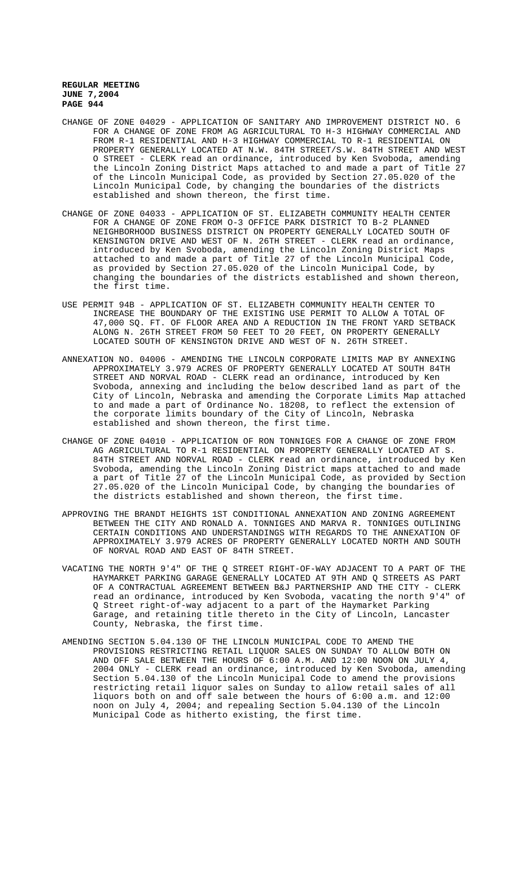- CHANGE OF ZONE 04029 APPLICATION OF SANITARY AND IMPROVEMENT DISTRICT NO. 6 FOR A CHANGE OF ZONE FROM AG AGRICULTURAL TO H-3 HIGHWAY COMMERCIAL AND FROM R-1 RESIDENTIAL AND H-3 HIGHWAY COMMERCIAL TO R-1 RESIDENTIAL ON PROPERTY GENERALLY LOCATED AT N.W. 84TH STREET/S.W. 84TH STREET AND WEST O STREET - CLERK read an ordinance, introduced by Ken Svoboda, amending the Lincoln Zoning District Maps attached to and made a part of Title 27 of the Lincoln Municipal Code, as provided by Section 27.05.020 of the Lincoln Municipal Code, by changing the boundaries of the districts established and shown thereon, the first time.
- CHANGE OF ZONE 04033 APPLICATION OF ST. ELIZABETH COMMUNITY HEALTH CENTER FOR A CHANGE OF ZONE FROM O-3 OFFICE PARK DISTRICT TO B-2 PLANNED NEIGHBORHOOD BUSINESS DISTRICT ON PROPERTY GENERALLY LOCATED SOUTH OF KENSINGTON DRIVE AND WEST OF N. 26TH STREET - CLERK read an ordinance, introduced by Ken Svoboda, amending the Lincoln Zoning District Maps attached to and made a part of Title 27 of the Lincoln Municipal Code, as provided by Section 27.05.020 of the Lincoln Municipal Code, by changing the boundaries of the districts established and shown thereon, the first time.
- USE PERMIT 94B APPLICATION OF ST. ELIZABETH COMMUNITY HEALTH CENTER TO INCREASE THE BOUNDARY OF THE EXISTING USE PERMIT TO ALLOW A TOTAL OF 47,000 SQ. FT. OF FLOOR AREA AND A REDUCTION IN THE FRONT YARD SETBACK ALONG N. 26TH STREET FROM 50 FEET TO 20 FEET, ON PROPERTY GENERALLY LOCATED SOUTH OF KENSINGTON DRIVE AND WEST OF N. 26TH STREET.
- ANNEXATION NO. 04006 AMENDING THE LINCOLN CORPORATE LIMITS MAP BY ANNEXING APPROXIMATELY 3.979 ACRES OF PROPERTY GENERALLY LOCATED AT SOUTH 84TH STREET AND NORVAL ROAD - CLERK read an ordinance, introduced by Ken Svoboda, annexing and including the below described land as part of the City of Lincoln, Nebraska and amending the Corporate Limits Map attached to and made a part of Ordinance No. 18208, to reflect the extension of the corporate limits boundary of the City of Lincoln, Nebraska established and shown thereon, the first time.
- CHANGE OF ZONE 04010 APPLICATION OF RON TONNIGES FOR A CHANGE OF ZONE FROM AG AGRICULTURAL TO R-1 RESIDENTIAL ON PROPERTY GENERALLY LOCATED AT S. 84TH STREET AND NORVAL ROAD - CLERK read an ordinance, introduced by Ken Svoboda, amending the Lincoln Zoning District maps attached to and made a part of Title 27 of the Lincoln Municipal Code, as provided by Section 27.05.020 of the Lincoln Municipal Code, by changing the boundaries of the districts established and shown thereon, the first time.
- APPROVING THE BRANDT HEIGHTS 1ST CONDITIONAL ANNEXATION AND ZONING AGREEMENT BETWEEN THE CITY AND RONALD A. TONNIGES AND MARVA R. TONNIGES OUTLINING CERTAIN CONDITIONS AND UNDERSTANDINGS WITH REGARDS TO THE ANNEXATION OF APPROXIMATELY 3.979 ACRES OF PROPERTY GENERALLY LOCATED NORTH AND SOUTH OF NORVAL ROAD AND EAST OF 84TH STREET.
- VACATING THE NORTH 9'4" OF THE Q STREET RIGHT-OF-WAY ADJACENT TO A PART OF THE HAYMARKET PARKING GARAGE GENERALLY LOCATED AT 9TH AND Q STREETS AS PART OF A CONTRACTUAL AGREEMENT BETWEEN B&J PARTNERSHIP AND THE CITY - CLERK read an ordinance, introduced by Ken Svoboda, vacating the north 9'4" of Q Street right-of-way adjacent to a part of the Haymarket Parking Garage, and retaining title thereto in the City of Lincoln, Lancaster County, Nebraska, the first time.
- AMENDING SECTION 5.04.130 OF THE LINCOLN MUNICIPAL CODE TO AMEND THE PROVISIONS RESTRICTING RETAIL LIQUOR SALES ON SUNDAY TO ALLOW BOTH ON AND OFF SALE BETWEEN THE HOURS OF 6:00 A.M. AND 12:00 NOON ON JULY 4, 2004 ONLY - CLERK read an ordinance, introduced by Ken Svoboda, amending Section 5.04.130 of the Lincoln Municipal Code to amend the provisions restricting retail liquor sales on Sunday to allow retail sales of all liquors both on and off sale between the hours of 6:00 a.m. and 12:00 noon on July 4, 2004; and repealing Section 5.04.130 of the Lincoln Municipal Code as hitherto existing, the first time.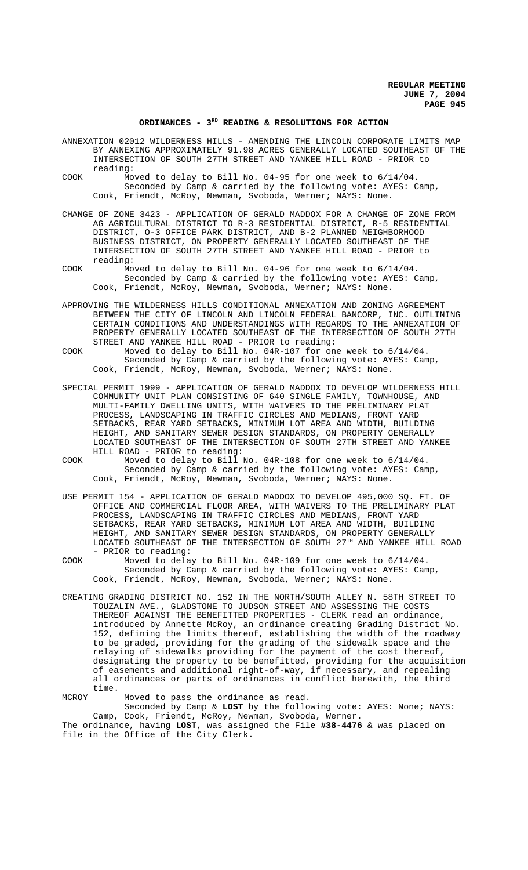# ORDINANCES - 3<sup>RD</sup> READING & RESOLUTIONS FOR ACTION

| ANNEXATION 02012 WILDERNESS HILLS - AMENDING THE LINCOLN CORPORATE LIMITS MAP |  |  |                                                                          |  |
|-------------------------------------------------------------------------------|--|--|--------------------------------------------------------------------------|--|
|                                                                               |  |  | BY ANNEXING APPROXIMATELY 91.98 ACRES GENERALLY LOCATED SOUTHEAST OF THE |  |
| reading:                                                                      |  |  | INTERSECTION OF SOUTH 27TH STREET AND YANKEE HILL ROAD - PRIOR to        |  |

- COOK Moved to delay to Bill No. 04-95 for one week to 6/14/04. Seconded by Camp & carried by the following vote: AYES: Camp, Cook, Friendt, McRoy, Newman, Svoboda, Werner; NAYS: None.
- CHANGE OF ZONE 3423 APPLICATION OF GERALD MADDOX FOR A CHANGE OF ZONE FROM AG AGRICULTURAL DISTRICT TO R-3 RESIDENTIAL DISTRICT, R-5 RESIDENTIAL DISTRICT, O-3 OFFICE PARK DISTRICT, AND B-2 PLANNED NEIGHBORHOOD BUSINESS DISTRICT, ON PROPERTY GENERALLY LOCATED SOUTHEAST OF THE INTERSECTION OF SOUTH 27TH STREET AND YANKEE HILL ROAD - PRIOR to reading:
- COOK Moved to delay to Bill No. 04-96 for one week to 6/14/04. Seconded by Camp & carried by the following vote: AYES: Camp, Cook, Friendt, McRoy, Newman, Svoboda, Werner; NAYS: None.
- APPROVING THE WILDERNESS HILLS CONDITIONAL ANNEXATION AND ZONING AGREEMENT BETWEEN THE CITY OF LINCOLN AND LINCOLN FEDERAL BANCORP, INC. OUTLINING CERTAIN CONDITIONS AND UNDERSTANDINGS WITH REGARDS TO THE ANNEXATION OF PROPERTY GENERALLY LOCATED SOUTHEAST OF THE INTERSECTION OF SOUTH 27TH STREET AND YANKEE HILL ROAD - PRIOR to reading:
- COOK Moved to delay to Bill No. 04R-107 for one week to 6/14/04. Seconded by Camp & carried by the following vote: AYES: Camp, Cook, Friendt, McRoy, Newman, Svoboda, Werner; NAYS: None.
- SPECIAL PERMIT 1999 APPLICATION OF GERALD MADDOX TO DEVELOP WILDERNESS HILL COMMUNITY UNIT PLAN CONSISTING OF 640 SINGLE FAMILY, TOWNHOUSE, AND MULTI-FAMILY DWELLING UNITS, WITH WAIVERS TO THE PRELIMINARY PLAT PROCESS, LANDSCAPING IN TRAFFIC CIRCLES AND MEDIANS, FRONT YARD SETBACKS, REAR YARD SETBACKS, MINIMUM LOT AREA AND WIDTH, BUILDING HEIGHT, AND SANITARY SEWER DESIGN STANDARDS, ON PROPERTY GENERALLY LOCATED SOUTHEAST OF THE INTERSECTION OF SOUTH 27TH STREET AND YANKEE HILL ROAD - PRIOR to reading:
- COOK Moved to delay to Bill No. 04R-108 for one week to 6/14/04. Seconded by Camp & carried by the following vote: AYES: Camp, Cook, Friendt, McRoy, Newman, Svoboda, Werner; NAYS: None.
- USE PERMIT 154 APPLICATION OF GERALD MADDOX TO DEVELOP 495,000 SQ. FT. OF OFFICE AND COMMERCIAL FLOOR AREA, WITH WAIVERS TO THE PRELIMINARY PLAT PROCESS, LANDSCAPING IN TRAFFIC CIRCLES AND MEDIANS, FRONT YARD SETBACKS, REAR YARD SETBACKS, MINIMUM LOT AREA AND WIDTH, BUILDING HEIGHT, AND SANITARY SEWER DESIGN STANDARDS, ON PROPERTY GENERALLY LOCATED SOUTHEAST OF THE INTERSECTION OF SOUTH 27TH AND YANKEE HILL ROAD - PRIOR to reading:
- COOK Moved to delay to Bill No. 04R-109 for one week to 6/14/04. Seconded by Camp & carried by the following vote: AYES: Camp, Cook, Friendt, McRoy, Newman, Svoboda, Werner; NAYS: None.
- CREATING GRADING DISTRICT NO. 152 IN THE NORTH/SOUTH ALLEY N. 58TH STREET TO TOUZALIN AVE., GLADSTONE TO JUDSON STREET AND ASSESSING THE COSTS THEREOF AGAINST THE BENEFITTED PROPERTIES - CLERK read an ordinance, introduced by Annette McRoy, an ordinance creating Grading District No. 152, defining the limits thereof, establishing the width of the roadway to be graded, providing for the grading of the sidewalk space and the relaying of sidewalks providing for the payment of the cost thereof, designating the property to be benefitted, providing for the acquisition of easements and additional right-of-way, if necessary, and repealing all ordinances or parts of ordinances in conflict herewith, the third time.

MCROY Moved to pass the ordinance as read.

Seconded by Camp & **LOST** by the following vote: AYES: None; NAYS: Camp, Cook, Friendt, McRoy, Newman, Svoboda, Werner. The ordinance, having **LOST**, was assigned the File **#38-4476** & was placed on file in the Office of the City Clerk.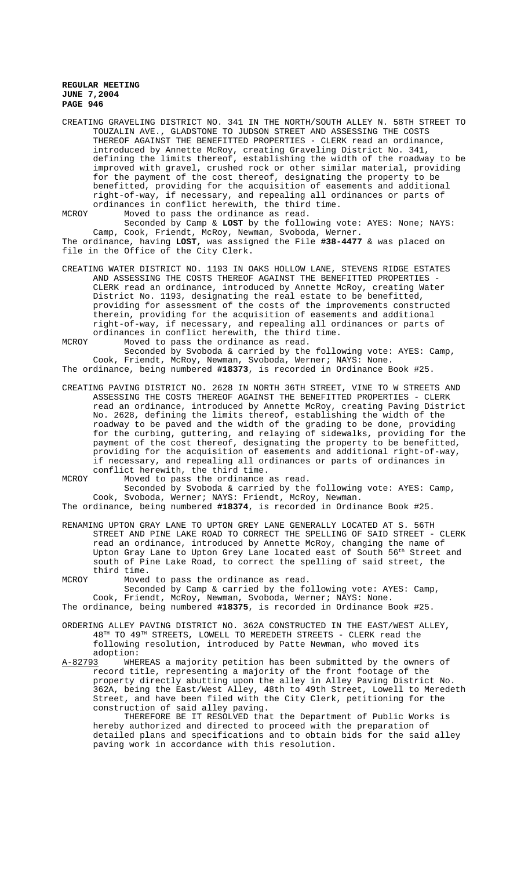CREATING GRAVELING DISTRICT NO. 341 IN THE NORTH/SOUTH ALLEY N. 58TH STREET TO TOUZALIN AVE., GLADSTONE TO JUDSON STREET AND ASSESSING THE COSTS THEREOF AGAINST THE BENEFITTED PROPERTIES - CLERK read an ordinance, introduced by Annette McRoy, creating Graveling District No. 341, defining the limits thereof, establishing the width of the roadway to be improved with gravel, crushed rock or other similar material, providing for the payment of the cost thereof, designating the property to be benefitted, providing for the acquisition of easements and additional right-of-way, if necessary, and repealing all ordinances or parts of ordinances in conflict herewith, the third time.

MCROY Moved to pass the ordinance as read.

Seconded by Camp & **LOST** by the following vote: AYES: None; NAYS: Camp, Cook, Friendt, McRoy, Newman, Svoboda, Werner. The ordinance, having **LOST**, was assigned the File **#38-4477** & was placed on file in the Office of the City Clerk.

CREATING WATER DISTRICT NO. 1193 IN OAKS HOLLOW LANE, STEVENS RIDGE ESTATES AND ASSESSING THE COSTS THEREOF AGAINST THE BENEFITTED PROPERTIES CLERK read an ordinance, introduced by Annette McRoy, creating Water District No. 1193, designating the real estate to be benefitted, providing for assessment of the costs of the improvements constructed therein, providing for the acquisition of easements and additional right-of-way, if necessary, and repealing all ordinances or parts of ordinances in conflict herewith, the third time.

MCROY Moved to pass the ordinance as read.

Seconded by Svoboda & carried by the following vote: AYES: Camp, Cook, Friendt, McRoy, Newman, Svoboda, Werner; NAYS: None. The ordinance, being numbered **#18373**, is recorded in Ordinance Book #25.

CREATING PAVING DISTRICT NO. 2628 IN NORTH 36TH STREET, VINE TO W STREETS AND ASSESSING THE COSTS THEREOF AGAINST THE BENEFITTED PROPERTIES - CLERK read an ordinance, introduced by Annette McRoy, creating Paving District No. 2628, defining the limits thereof, establishing the width of the roadway to be paved and the width of the grading to be done, providing for the curbing, guttering, and relaying of sidewalks, providing for the payment of the cost thereof, designating the property to be benefitted, providing for the acquisition of easements and additional right-of-way, if necessary, and repealing all ordinances or parts of ordinances in conflict herewith, the third time.

MCROY Moved to pass the ordinance as read.

Seconded by Svoboda & carried by the following vote: AYES: Camp, Cook, Svoboda, Werner; NAYS: Friendt, McRoy, Newman.

The ordinance, being numbered **#18374**, is recorded in Ordinance Book #25.

RENAMING UPTON GRAY LANE TO UPTON GREY LANE GENERALLY LOCATED AT S. 56TH STREET AND PINE LAKE ROAD TO CORRECT THE SPELLING OF SAID STREET - CLERK read an ordinance, introduced by Annette McRoy, changing the name of Upton Gray Lane to Upton Grey Lane located east of South 56th Street and south of Pine Lake Road, to correct the spelling of said street, the third time.

MCROY Moved to pass the ordinance as read.

Seconded by Camp & carried by the following vote: AYES: Camp, Cook, Friendt, McRoy, Newman, Svoboda, Werner; NAYS: None.

The ordinance, being numbered **#18375**, is recorded in Ordinance Book #25.

ORDERING ALLEY PAVING DISTRICT NO. 362A CONSTRUCTED IN THE EAST/WEST ALLEY,  $48<sup>TH</sup>$  TO  $49<sup>TH</sup>$  STREETS, LOWELL TO MEREDETH STREETS - CLERK read the following resolution, introduced by Patte Newman, who moved its adoption:<br>A-82793 WHE

A-82793 WHEREAS a majority petition has been submitted by the owners of record title, representing a majority of the front footage of the property directly abutting upon the alley in Alley Paving District No. 362A, being the East/West Alley, 48th to 49th Street, Lowell to Meredeth Street, and have been filed with the City Clerk, petitioning for the construction of said alley paving.

THEREFORE BE IT RESOLVED that the Department of Public Works is hereby authorized and directed to proceed with the preparation of detailed plans and specifications and to obtain bids for the said alley paving work in accordance with this resolution.